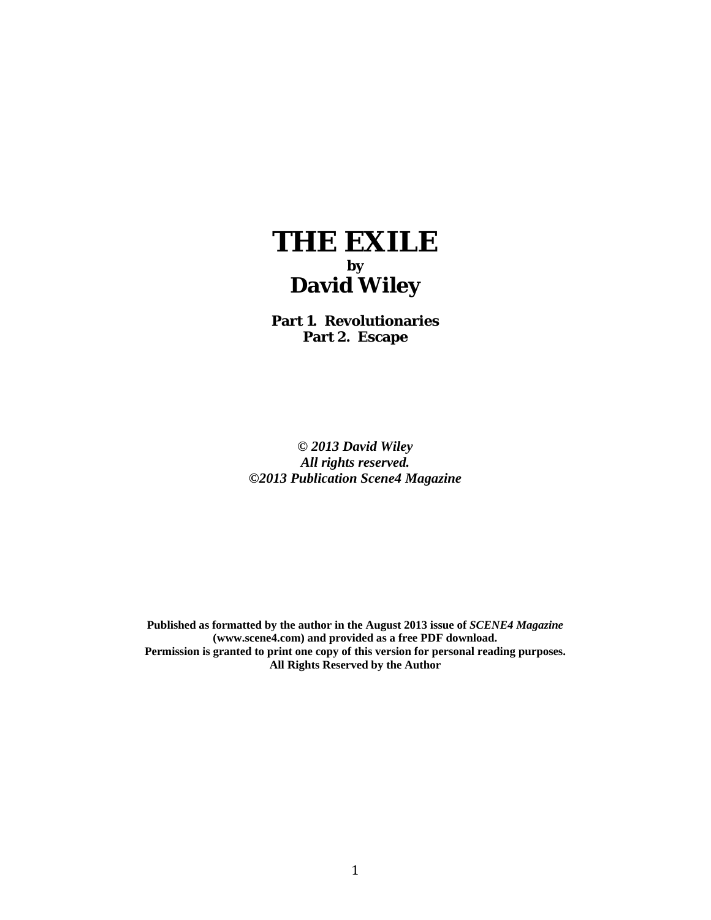

**Part 1. Revolutionaries Part 2. Escape** 

*© 2013 David Wiley All rights reserved. ©2013 Publication Scene4 Magazine* 

**Published as formatted by the author in the August 2013 issue of** *SCENE4 Magazine* **(www.scene4.com) and provided as a free PDF download. Permission is granted to print one copy of this version for personal reading purposes. All Rights Reserved by the Author**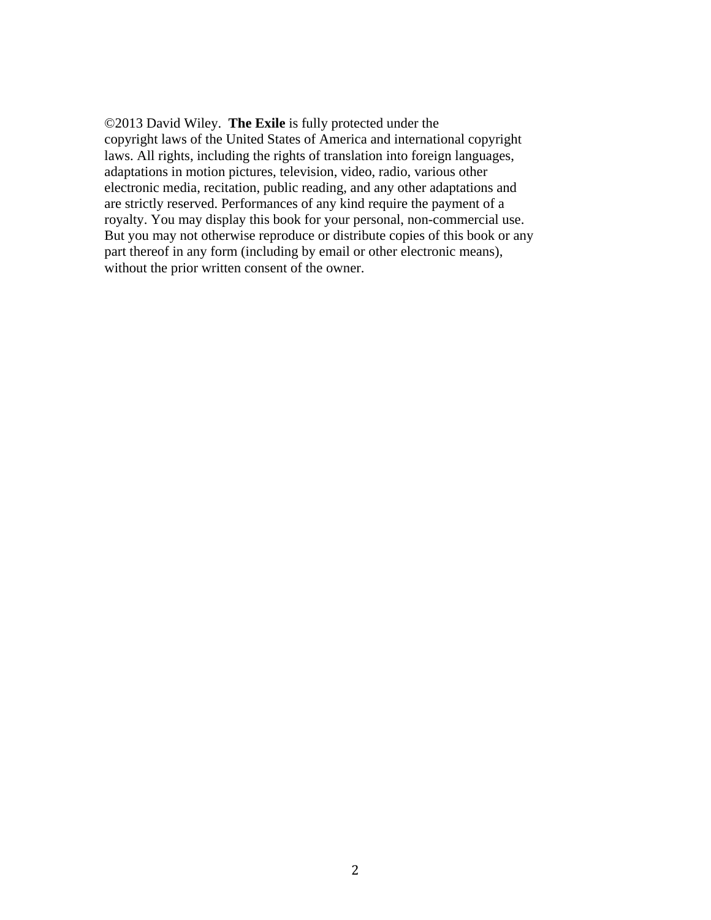©2013 David Wiley. **The Exile** is fully protected under the copyright laws of the United States of America and international copyright laws. All rights, including the rights of translation into foreign languages, adaptations in motion pictures, television, video, radio, various other electronic media, recitation, public reading, and any other adaptations and are strictly reserved. Performances of any kind require the payment of a royalty. You may display this book for your personal, non-commercial use. But you may not otherwise reproduce or distribute copies of this book or any part thereof in any form (including by email or other electronic means), without the prior written consent of the owner.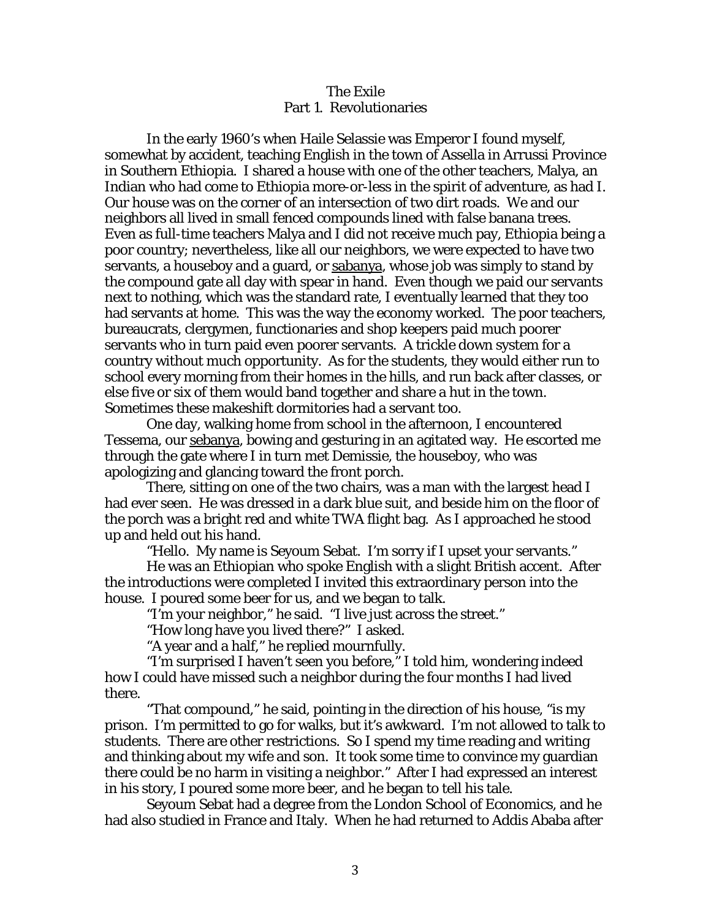## The Exile Part 1. Revolutionaries

 In the early 1960's when Haile Selassie was Emperor I found myself, somewhat by accident, teaching English in the town of Assella in Arrussi Province in Southern Ethiopia. I shared a house with one of the other teachers, Malya, an Indian who had come to Ethiopia more-or-less in the spirit of adventure, as had I. Our house was on the corner of an intersection of two dirt roads. We and our neighbors all lived in small fenced compounds lined with false banana trees. Even as full-time teachers Malya and I did not receive much pay, Ethiopia being a poor country; nevertheless, like all our neighbors, we were expected to have two servants, a houseboy and a guard, or sabanya, whose job was simply to stand by the compound gate all day with spear in hand. Even though we paid our servants next to nothing, which was the standard rate, I eventually learned that they too had servants at home. This was the way the economy worked. The poor teachers, bureaucrats, clergymen, functionaries and shop keepers paid much poorer servants who in turn paid even poorer servants. A trickle down system for a country without much opportunity. As for the students, they would either run to school every morning from their homes in the hills, and run back after classes, or else five or six of them would band together and share a hut in the town. Sometimes these makeshift dormitories had a servant too.

 One day, walking home from school in the afternoon, I encountered Tessema, our sebanya, bowing and gesturing in an agitated way. He escorted me through the gate where I in turn met Demissie, the houseboy, who was apologizing and glancing toward the front porch.

 There, sitting on one of the two chairs, was a man with the largest head I had ever seen. He was dressed in a dark blue suit, and beside him on the floor of the porch was a bright red and white TWA flight bag. As I approached he stood up and held out his hand.

"Hello. My name is Seyoum Sebat. I'm sorry if I upset your servants."

 He was an Ethiopian who spoke English with a slight British accent. After the introductions were completed I invited this extraordinary person into the house. I poured some beer for us, and we began to talk.

"I'm your neighbor," he said. "I live just across the street."

"How long have you lived there?" I asked.

"A year and a half," he replied mournfully.

 "I'm surprised I haven't seen you before," I told him, wondering indeed how I could have missed such a neighbor during the four months I had lived there.

 "That compound," he said, pointing in the direction of his house, "is my prison. I'm permitted to go for walks, but it's awkward. I'm not allowed to talk to students. There are other restrictions. So I spend my time reading and writing and thinking about my wife and son. It took some time to convince my guardian there could be no harm in visiting a neighbor." After I had expressed an interest in his story, I poured some more beer, and he began to tell his tale.

 Seyoum Sebat had a degree from the London School of Economics, and he had also studied in France and Italy. When he had returned to Addis Ababa after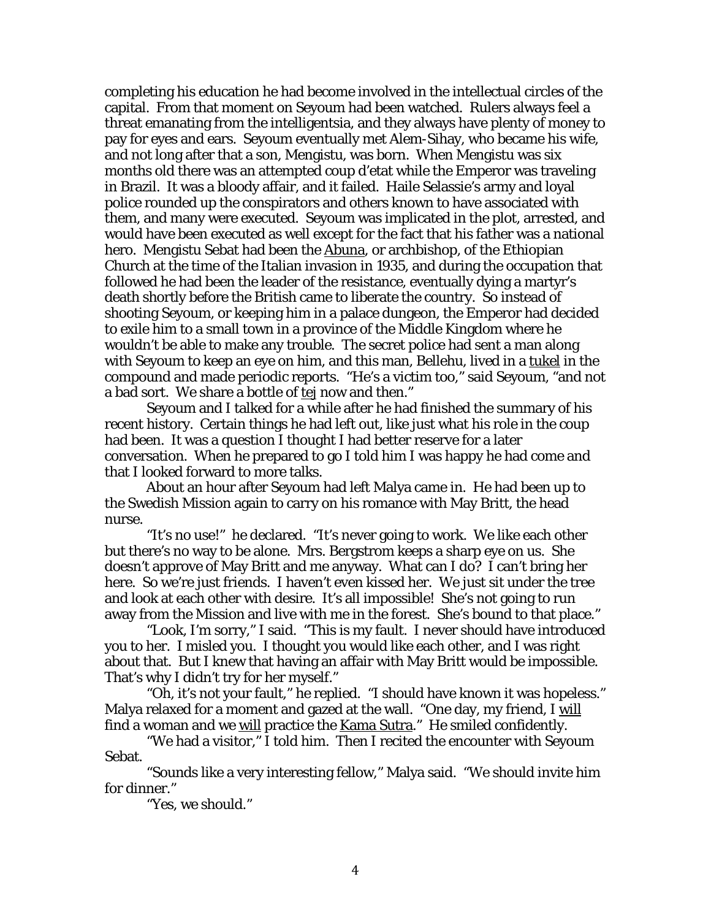completing his education he had become involved in the intellectual circles of the capital. From that moment on Seyoum had been watched. Rulers always feel a threat emanating from the intelligentsia, and they always have plenty of money to pay for eyes and ears. Seyoum eventually met Alem-Sihay, who became his wife, and not long after that a son, Mengistu, was born. When Mengistu was six months old there was an attempted coup d'etat while the Emperor was traveling in Brazil. It was a bloody affair, and it failed. Haile Selassie's army and loyal police rounded up the conspirators and others known to have associated with them, and many were executed. Seyoum was implicated in the plot, arrested, and would have been executed as well except for the fact that his father was a national hero. Mengistu Sebat had been the Abuna, or archbishop, of the Ethiopian Church at the time of the Italian invasion in 1935, and during the occupation that followed he had been the leader of the resistance, eventually dying a martyr's death shortly before the British came to liberate the country. So instead of shooting Seyoum, or keeping him in a palace dungeon, the Emperor had decided to exile him to a small town in a province of the Middle Kingdom where he wouldn't be able to make any trouble. The secret police had sent a man along with Seyoum to keep an eye on him, and this man, Bellehu, lived in a tukel in the compound and made periodic reports. "He's a victim too," said Seyoum, "and not a bad sort. We share a bottle of tej now and then."

 Seyoum and I talked for a while after he had finished the summary of his recent history. Certain things he had left out, like just what his role in the coup had been. It was a question I thought I had better reserve for a later conversation. When he prepared to go I told him I was happy he had come and that I looked forward to more talks.

 About an hour after Seyoum had left Malya came in. He had been up to the Swedish Mission again to carry on his romance with May Britt, the head nurse.

 "It's no use!" he declared. "It's never going to work. We like each other but there's no way to be alone. Mrs. Bergstrom keeps a sharp eye on us. She doesn't approve of May Britt and me anyway. What can I do? I can't bring her here. So we're just friends. I haven't even kissed her. We just sit under the tree and look at each other with desire. It's all impossible! She's not going to run away from the Mission and live with me in the forest. She's bound to that place."

 "Look, I'm sorry," I said. "This is my fault. I never should have introduced you to her. I misled you. I thought you would like each other, and I was right about that. But I knew that having an affair with May Britt would be impossible. That's why I didn't try for her myself."

 "Oh, it's not your fault," he replied. "I should have known it was hopeless." Malya relaxed for a moment and gazed at the wall. "One day, my friend, I will find a woman and we will practice the Kama Sutra." He smiled confidently.

 "We had a visitor," I told him. Then I recited the encounter with Seyoum Sebat.

 "Sounds like a very interesting fellow," Malya said. "We should invite him for dinner."

"Yes, we should."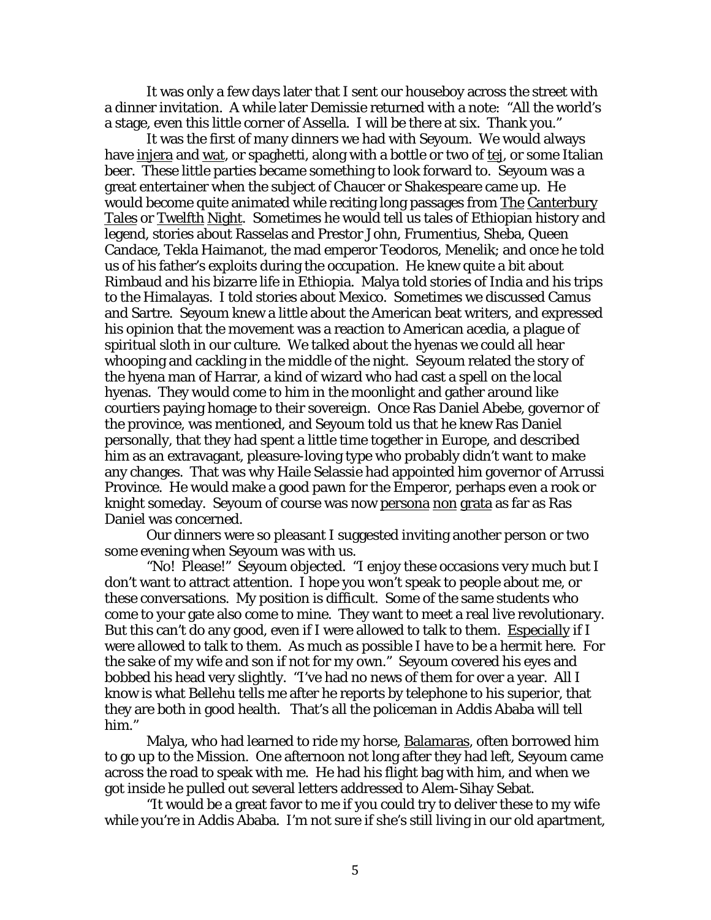It was only a few days later that I sent our houseboy across the street with a dinner invitation. A while later Demissie returned with a note: "All the world's a stage, even this little corner of Assella. I will be there at six. Thank you."

 It was the first of many dinners we had with Seyoum. We would always have injera and wat, or spaghetti, along with a bottle or two of tej, or some Italian beer. These little parties became something to look forward to. Seyoum was a great entertainer when the subject of Chaucer or Shakespeare came up. He would become quite animated while reciting long passages from The Canterbury Tales or Twelfth Night. Sometimes he would tell us tales of Ethiopian history and legend, stories about Rasselas and Prestor John, Frumentius, Sheba, Queen Candace, Tekla Haimanot, the mad emperor Teodoros, Menelik; and once he told us of his father's exploits during the occupation. He knew quite a bit about Rimbaud and his bizarre life in Ethiopia. Malya told stories of India and his trips to the Himalayas. I told stories about Mexico. Sometimes we discussed Camus and Sartre. Seyoum knew a little about the American beat writers, and expressed his opinion that the movement was a reaction to American acedia, a plague of spiritual sloth in our culture. We talked about the hyenas we could all hear whooping and cackling in the middle of the night. Seyoum related the story of the hyena man of Harrar, a kind of wizard who had cast a spell on the local hyenas. They would come to him in the moonlight and gather around like courtiers paying homage to their sovereign. Once Ras Daniel Abebe, governor of the province, was mentioned, and Seyoum told us that he knew Ras Daniel personally, that they had spent a little time together in Europe, and described him as an extravagant, pleasure-loving type who probably didn't want to make any changes. That was why Haile Selassie had appointed him governor of Arrussi Province. He would make a good pawn for the Emperor, perhaps even a rook or knight someday. Seyoum of course was now persona non grata as far as Ras Daniel was concerned.

 Our dinners were so pleasant I suggested inviting another person or two some evening when Seyoum was with us.

 "No! Please!" Seyoum objected. "I enjoy these occasions very much but I don't want to attract attention. I hope you won't speak to people about me, or these conversations. My position is difficult. Some of the same students who come to your gate also come to mine. They want to meet a real live revolutionary. But this can't do any good, even if I were allowed to talk to them. Especially if I were allowed to talk to them. As much as possible I have to be a hermit here. For the sake of my wife and son if not for my own." Seyoum covered his eyes and bobbed his head very slightly. "I've had no news of them for over a year. All I know is what Bellehu tells me after he reports by telephone to his superior, that they are both in good health. That's all the policeman in Addis Ababa will tell him."

 Malya, who had learned to ride my horse, Balamaras, often borrowed him to go up to the Mission. One afternoon not long after they had left, Seyoum came across the road to speak with me. He had his flight bag with him, and when we got inside he pulled out several letters addressed to Alem-Sihay Sebat.

 "It would be a great favor to me if you could try to deliver these to my wife while you're in Addis Ababa. I'm not sure if she's still living in our old apartment,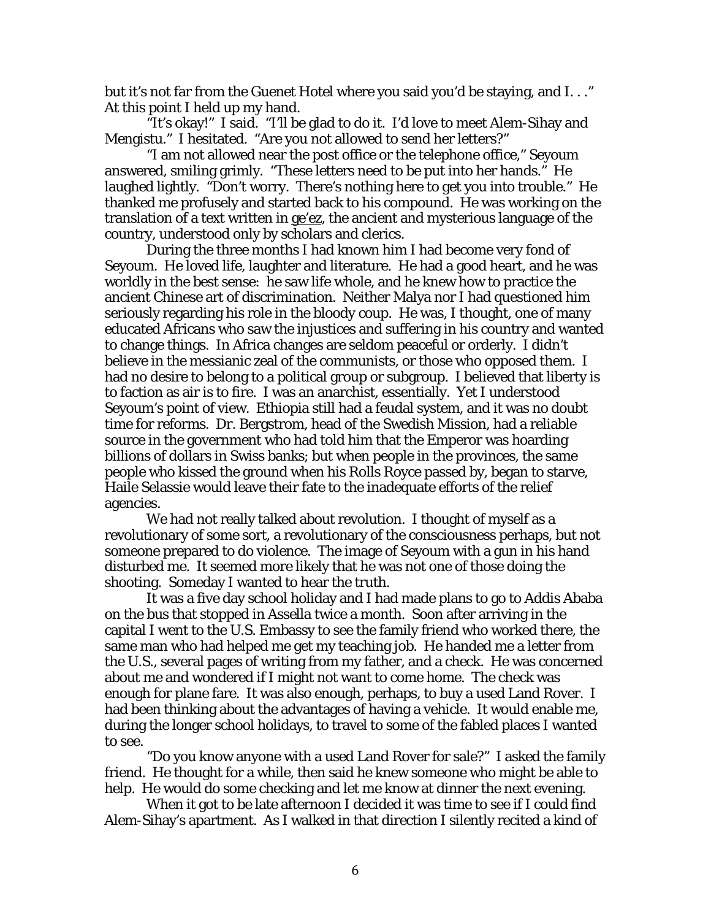but it's not far from the Guenet Hotel where you said you'd be staying, and I. . ." At this point I held up my hand.

"It's okay!" I said. "I'll be glad to do it. I'd love to meet Alem-Sihay and Mengistu." I hesitated. "Are you not allowed to send her letters?"

 "I am not allowed near the post office or the telephone office," Seyoum answered, smiling grimly. "These letters need to be put into her hands." He laughed lightly. "Don't worry. There's nothing here to get you into trouble." He thanked me profusely and started back to his compound. He was working on the translation of a text written in ge'ez, the ancient and mysterious language of the country, understood only by scholars and clerics.

 During the three months I had known him I had become very fond of Seyoum. He loved life, laughter and literature. He had a good heart, and he was worldly in the best sense: he saw life whole, and he knew how to practice the ancient Chinese art of discrimination. Neither Malya nor I had questioned him seriously regarding his role in the bloody coup. He was, I thought, one of many educated Africans who saw the injustices and suffering in his country and wanted to change things. In Africa changes are seldom peaceful or orderly. I didn't believe in the messianic zeal of the communists, or those who opposed them. I had no desire to belong to a political group or subgroup. I believed that liberty is to faction as air is to fire. I was an anarchist, essentially. Yet I understood Seyoum's point of view. Ethiopia still had a feudal system, and it was no doubt time for reforms. Dr. Bergstrom, head of the Swedish Mission, had a reliable source in the government who had told him that the Emperor was hoarding billions of dollars in Swiss banks; but when people in the provinces, the same people who kissed the ground when his Rolls Royce passed by, began to starve, Haile Selassie would leave their fate to the inadequate efforts of the relief agencies.

 We had not really talked about revolution. I thought of myself as a revolutionary of some sort, a revolutionary of the consciousness perhaps, but not someone prepared to do violence. The image of Seyoum with a gun in his hand disturbed me. It seemed more likely that he was not one of those doing the shooting. Someday I wanted to hear the truth.

 It was a five day school holiday and I had made plans to go to Addis Ababa on the bus that stopped in Assella twice a month. Soon after arriving in the capital I went to the U.S. Embassy to see the family friend who worked there, the same man who had helped me get my teaching job. He handed me a letter from the U.S., several pages of writing from my father, and a check. He was concerned about me and wondered if I might not want to come home. The check was enough for plane fare. It was also enough, perhaps, to buy a used Land Rover. I had been thinking about the advantages of having a vehicle. It would enable me, during the longer school holidays, to travel to some of the fabled places I wanted to see.

 "Do you know anyone with a used Land Rover for sale?" I asked the family friend. He thought for a while, then said he knew someone who might be able to help. He would do some checking and let me know at dinner the next evening.

 When it got to be late afternoon I decided it was time to see if I could find Alem-Sihay's apartment. As I walked in that direction I silently recited a kind of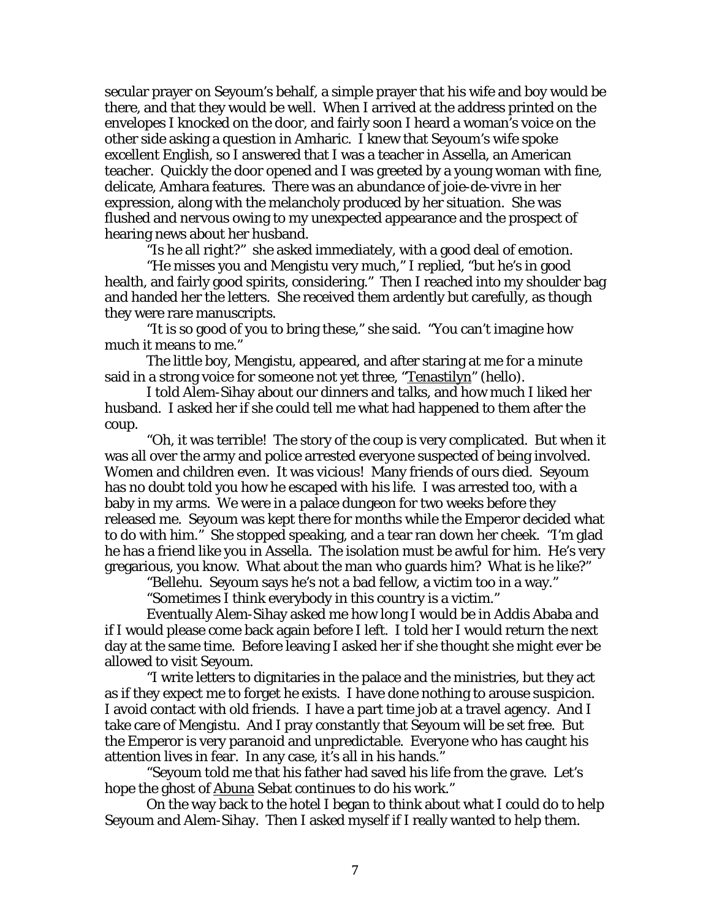secular prayer on Seyoum's behalf, a simple prayer that his wife and boy would be there, and that they would be well. When I arrived at the address printed on the envelopes I knocked on the door, and fairly soon I heard a woman's voice on the other side asking a question in Amharic. I knew that Seyoum's wife spoke excellent English, so I answered that I was a teacher in Assella, an American teacher. Quickly the door opened and I was greeted by a young woman with fine, delicate, Amhara features. There was an abundance of joie-de-vivre in her expression, along with the melancholy produced by her situation. She was flushed and nervous owing to my unexpected appearance and the prospect of hearing news about her husband.

"Is he all right?" she asked immediately, with a good deal of emotion.

 "He misses you and Mengistu very much," I replied, "but he's in good health, and fairly good spirits, considering." Then I reached into my shoulder bag and handed her the letters. She received them ardently but carefully, as though they were rare manuscripts.

 "It is so good of you to bring these," she said. "You can't imagine how much it means to me."

 The little boy, Mengistu, appeared, and after staring at me for a minute said in a strong voice for someone not yet three, "Tenastilyn" (hello).

 I told Alem-Sihay about our dinners and talks, and how much I liked her husband. I asked her if she could tell me what had happened to them after the coup.

 "Oh, it was terrible! The story of the coup is very complicated. But when it was all over the army and police arrested everyone suspected of being involved. Women and children even. It was vicious! Many friends of ours died. Seyoum has no doubt told you how he escaped with his life. I was arrested too, with a baby in my arms. We were in a palace dungeon for two weeks before they released me. Seyoum was kept there for months while the Emperor decided what to do with him." She stopped speaking, and a tear ran down her cheek. "I'm glad he has a friend like you in Assella. The isolation must be awful for him. He's very gregarious, you know. What about the man who guards him? What is he like?"

"Bellehu. Seyoum says he's not a bad fellow, a victim too in a way."

"Sometimes I think everybody in this country is a victim."

 Eventually Alem-Sihay asked me how long I would be in Addis Ababa and if I would please come back again before I left. I told her I would return the next day at the same time. Before leaving I asked her if she thought she might ever be allowed to visit Seyoum.

 "I write letters to dignitaries in the palace and the ministries, but they act as if they expect me to forget he exists. I have done nothing to arouse suspicion. I avoid contact with old friends. I have a part time job at a travel agency. And I take care of Mengistu. And I pray constantly that Seyoum will be set free. But the Emperor is very paranoid and unpredictable. Everyone who has caught his attention lives in fear. In any case, it's all in his hands."

 "Seyoum told me that his father had saved his life from the grave. Let's hope the ghost of Abuna Sebat continues to do his work."

 On the way back to the hotel I began to think about what I could do to help Seyoum and Alem-Sihay. Then I asked myself if I really wanted to help them.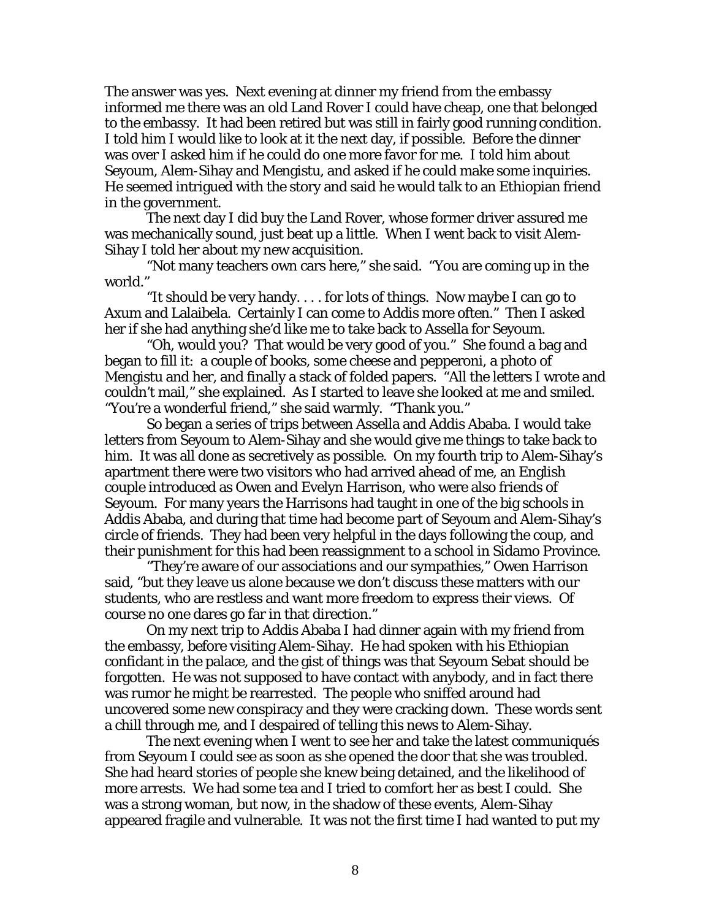The answer was yes. Next evening at dinner my friend from the embassy informed me there was an old Land Rover I could have cheap, one that belonged to the embassy. It had been retired but was still in fairly good running condition. I told him I would like to look at it the next day, if possible. Before the dinner was over I asked him if he could do one more favor for me. I told him about Seyoum, Alem-Sihay and Mengistu, and asked if he could make some inquiries. He seemed intrigued with the story and said he would talk to an Ethiopian friend in the government.

 The next day I did buy the Land Rover, whose former driver assured me was mechanically sound, just beat up a little. When I went back to visit Alem-Sihay I told her about my new acquisition.

 "Not many teachers own cars here," she said. "You are coming up in the world."

 "It should be very handy. . . . for lots of things. Now maybe I can go to Axum and Lalaibela. Certainly I can come to Addis more often." Then I asked her if she had anything she'd like me to take back to Assella for Seyoum.

 "Oh, would you? That would be very good of you." She found a bag and began to fill it: a couple of books, some cheese and pepperoni, a photo of Mengistu and her, and finally a stack of folded papers. "All the letters I wrote and couldn't mail," she explained. As I started to leave she looked at me and smiled. "You're a wonderful friend," she said warmly. "Thank you."

 So began a series of trips between Assella and Addis Ababa. I would take letters from Seyoum to Alem-Sihay and she would give me things to take back to him. It was all done as secretively as possible. On my fourth trip to Alem-Sihay's apartment there were two visitors who had arrived ahead of me, an English couple introduced as Owen and Evelyn Harrison, who were also friends of Seyoum. For many years the Harrisons had taught in one of the big schools in Addis Ababa, and during that time had become part of Seyoum and Alem-Sihay's circle of friends. They had been very helpful in the days following the coup, and their punishment for this had been reassignment to a school in Sidamo Province.

 "They're aware of our associations and our sympathies," Owen Harrison said, "but they leave us alone because we don't discuss these matters with our students, who are restless and want more freedom to express their views. Of course no one dares go far in that direction."

 On my next trip to Addis Ababa I had dinner again with my friend from the embassy, before visiting Alem-Sihay. He had spoken with his Ethiopian confidant in the palace, and the gist of things was that Seyoum Sebat should be forgotten. He was not supposed to have contact with anybody, and in fact there was rumor he might be rearrested. The people who sniffed around had uncovered some new conspiracy and they were cracking down. These words sent a chill through me, and I despaired of telling this news to Alem-Sihay.

 The next evening when I went to see her and take the latest communiqués from Seyoum I could see as soon as she opened the door that she was troubled. She had heard stories of people she knew being detained, and the likelihood of more arrests. We had some tea and I tried to comfort her as best I could. She was a strong woman, but now, in the shadow of these events, Alem-Sihay appeared fragile and vulnerable. It was not the first time I had wanted to put my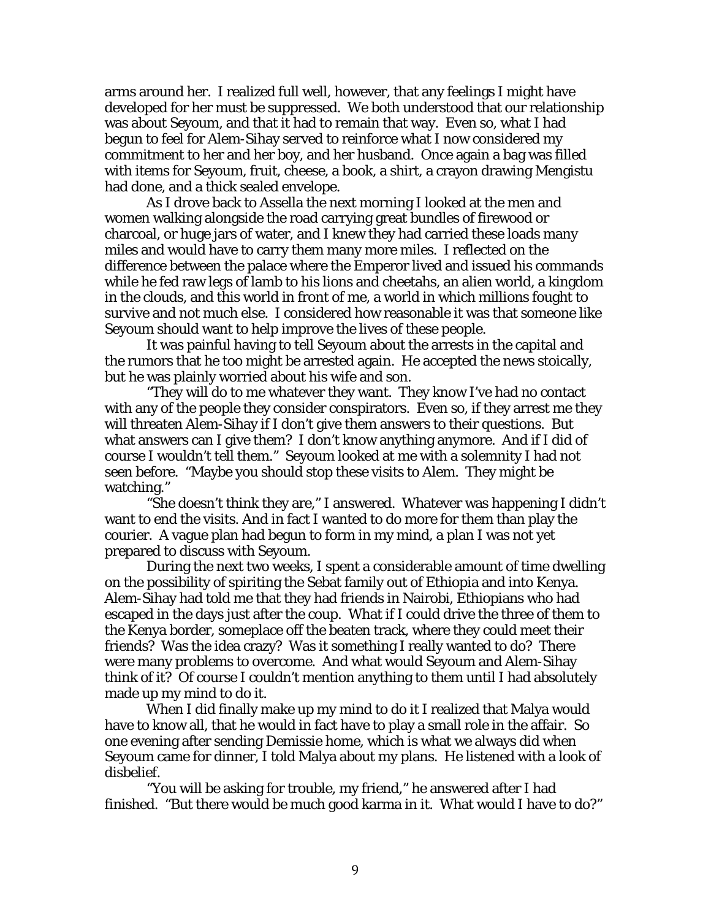arms around her. I realized full well, however, that any feelings I might have developed for her must be suppressed. We both understood that our relationship was about Seyoum, and that it had to remain that way. Even so, what I had begun to feel for Alem-Sihay served to reinforce what I now considered my commitment to her and her boy, and her husband. Once again a bag was filled with items for Seyoum, fruit, cheese, a book, a shirt, a crayon drawing Mengistu had done, and a thick sealed envelope.

 As I drove back to Assella the next morning I looked at the men and women walking alongside the road carrying great bundles of firewood or charcoal, or huge jars of water, and I knew they had carried these loads many miles and would have to carry them many more miles. I reflected on the difference between the palace where the Emperor lived and issued his commands while he fed raw legs of lamb to his lions and cheetahs, an alien world, a kingdom in the clouds, and this world in front of me, a world in which millions fought to survive and not much else. I considered how reasonable it was that someone like Seyoum should want to help improve the lives of these people.

 It was painful having to tell Seyoum about the arrests in the capital and the rumors that he too might be arrested again. He accepted the news stoically, but he was plainly worried about his wife and son.

 "They will do to me whatever they want. They know I've had no contact with any of the people they consider conspirators. Even so, if they arrest me they will threaten Alem-Sihay if I don't give them answers to their questions. But what answers can I give them? I don't know anything anymore. And if I did of course I wouldn't tell them." Seyoum looked at me with a solemnity I had not seen before. "Maybe you should stop these visits to Alem. They might be watching."

 "She doesn't think they are," I answered. Whatever was happening I didn't want to end the visits. And in fact I wanted to do more for them than play the courier. A vague plan had begun to form in my mind, a plan I was not yet prepared to discuss with Seyoum.

 During the next two weeks, I spent a considerable amount of time dwelling on the possibility of spiriting the Sebat family out of Ethiopia and into Kenya. Alem-Sihay had told me that they had friends in Nairobi, Ethiopians who had escaped in the days just after the coup. What if I could drive the three of them to the Kenya border, someplace off the beaten track, where they could meet their friends? Was the idea crazy? Was it something I really wanted to do? There were many problems to overcome. And what would Seyoum and Alem-Sihay think of it? Of course I couldn't mention anything to them until I had absolutely made up my mind to do it.

 When I did finally make up my mind to do it I realized that Malya would have to know all, that he would in fact have to play a small role in the affair. So one evening after sending Demissie home, which is what we always did when Seyoum came for dinner, I told Malya about my plans. He listened with a look of disbelief.

 "You will be asking for trouble, my friend," he answered after I had finished. "But there would be much good karma in it. What would I have to do?"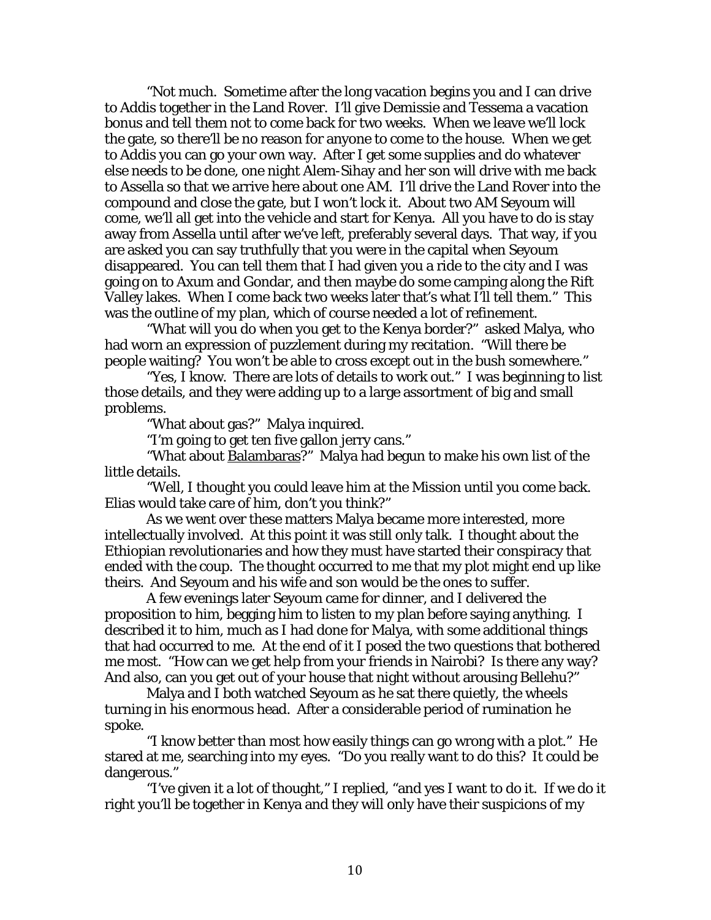"Not much. Sometime after the long vacation begins you and I can drive to Addis together in the Land Rover. I'll give Demissie and Tessema a vacation bonus and tell them not to come back for two weeks. When we leave we'll lock the gate, so there'll be no reason for anyone to come to the house. When we get to Addis you can go your own way. After I get some supplies and do whatever else needs to be done, one night Alem-Sihay and her son will drive with me back to Assella so that we arrive here about one AM. I'll drive the Land Rover into the compound and close the gate, but I won't lock it. About two AM Seyoum will come, we'll all get into the vehicle and start for Kenya. All you have to do is stay away from Assella until after we've left, preferably several days. That way, if you are asked you can say truthfully that you were in the capital when Seyoum disappeared. You can tell them that I had given you a ride to the city and I was going on to Axum and Gondar, and then maybe do some camping along the Rift Valley lakes. When I come back two weeks later that's what I'll tell them." This was the outline of my plan, which of course needed a lot of refinement.

 "What will you do when you get to the Kenya border?" asked Malya, who had worn an expression of puzzlement during my recitation. "Will there be people waiting? You won't be able to cross except out in the bush somewhere."

 "Yes, I know. There are lots of details to work out." I was beginning to list those details, and they were adding up to a large assortment of big and small problems.

"What about gas?" Malya inquired.

"I'm going to get ten five gallon jerry cans."

 "What about Balambaras?" Malya had begun to make his own list of the little details.

 "Well, I thought you could leave him at the Mission until you come back. Elias would take care of him, don't you think?"

 As we went over these matters Malya became more interested, more intellectually involved. At this point it was still only talk. I thought about the Ethiopian revolutionaries and how they must have started their conspiracy that ended with the coup. The thought occurred to me that my plot might end up like theirs. And Seyoum and his wife and son would be the ones to suffer.

 A few evenings later Seyoum came for dinner, and I delivered the proposition to him, begging him to listen to my plan before saying anything. I described it to him, much as I had done for Malya, with some additional things that had occurred to me. At the end of it I posed the two questions that bothered me most. "How can we get help from your friends in Nairobi? Is there any way? And also, can you get out of your house that night without arousing Bellehu?"

 Malya and I both watched Seyoum as he sat there quietly, the wheels turning in his enormous head. After a considerable period of rumination he spoke.

 "I know better than most how easily things can go wrong with a plot." He stared at me, searching into my eyes. "Do you really want to do this? It could be dangerous."

 "I've given it a lot of thought," I replied, "and yes I want to do it. If we do it right you'll be together in Kenya and they will only have their suspicions of my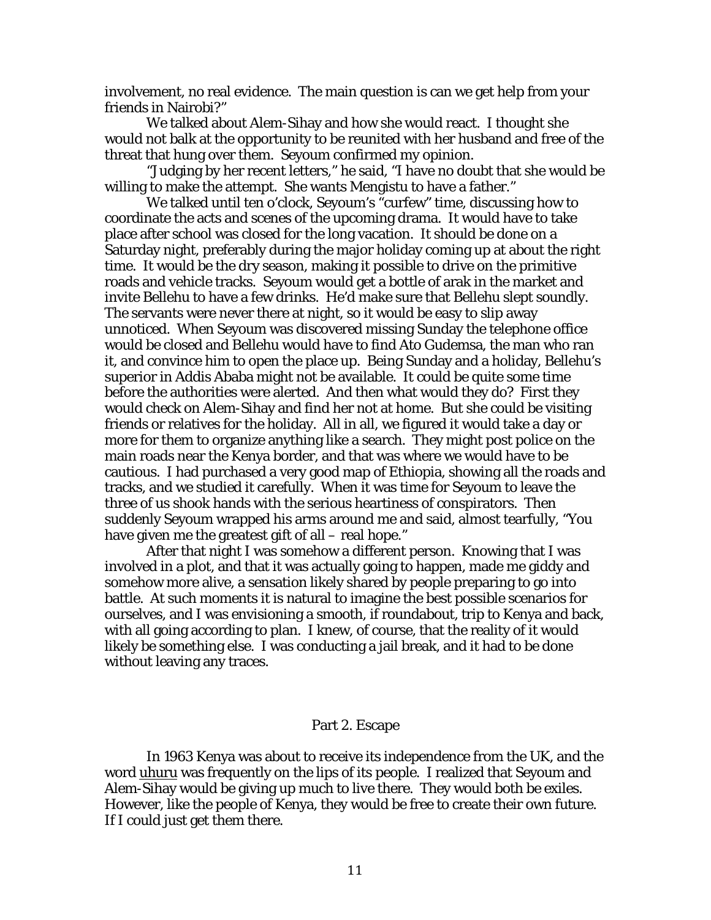involvement, no real evidence. The main question is can we get help from your friends in Nairobi?"

 We talked about Alem-Sihay and how she would react. I thought she would not balk at the opportunity to be reunited with her husband and free of the threat that hung over them. Seyoum confirmed my opinion.

 "Judging by her recent letters," he said, "I have no doubt that she would be willing to make the attempt. She wants Mengistu to have a father."

 We talked until ten o'clock, Seyoum's "curfew" time, discussing how to coordinate the acts and scenes of the upcoming drama. It would have to take place after school was closed for the long vacation. It should be done on a Saturday night, preferably during the major holiday coming up at about the right time. It would be the dry season, making it possible to drive on the primitive roads and vehicle tracks. Seyoum would get a bottle of arak in the market and invite Bellehu to have a few drinks. He'd make sure that Bellehu slept soundly. The servants were never there at night, so it would be easy to slip away unnoticed. When Seyoum was discovered missing Sunday the telephone office would be closed and Bellehu would have to find Ato Gudemsa, the man who ran it, and convince him to open the place up. Being Sunday and a holiday, Bellehu's superior in Addis Ababa might not be available. It could be quite some time before the authorities were alerted. And then what would they do? First they would check on Alem-Sihay and find her not at home. But she could be visiting friends or relatives for the holiday. All in all, we figured it would take a day or more for them to organize anything like a search. They might post police on the main roads near the Kenya border, and that was where we would have to be cautious. I had purchased a very good map of Ethiopia, showing all the roads and tracks, and we studied it carefully. When it was time for Seyoum to leave the three of us shook hands with the serious heartiness of conspirators. Then suddenly Seyoum wrapped his arms around me and said, almost tearfully, "You have given me the greatest gift of all – real hope."

 After that night I was somehow a different person. Knowing that I was involved in a plot, and that it was actually going to happen, made me giddy and somehow more alive, a sensation likely shared by people preparing to go into battle. At such moments it is natural to imagine the best possible scenarios for ourselves, and I was envisioning a smooth, if roundabout, trip to Kenya and back, with all going according to plan. I knew, of course, that the reality of it would likely be something else. I was conducting a jail break, and it had to be done without leaving any traces.

## Part 2. Escape

 In 1963 Kenya was about to receive its independence from the UK, and the word uhuru was frequently on the lips of its people. I realized that Seyoum and Alem-Sihay would be giving up much to live there. They would both be exiles. However, like the people of Kenya, they would be free to create their own future. If I could just get them there.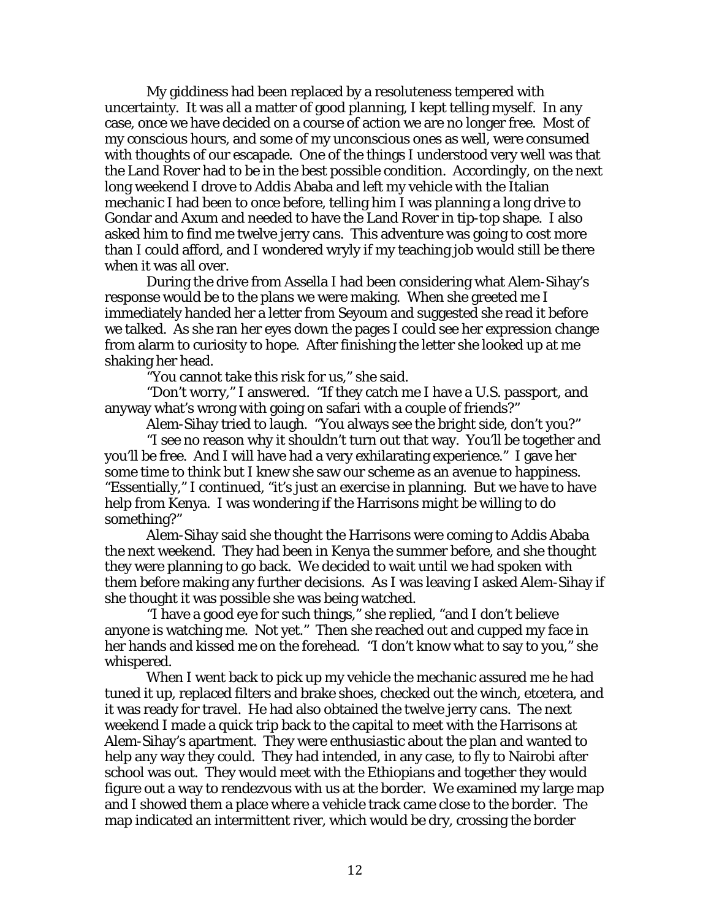My giddiness had been replaced by a resoluteness tempered with uncertainty. It was all a matter of good planning, I kept telling myself. In any case, once we have decided on a course of action we are no longer free. Most of my conscious hours, and some of my unconscious ones as well, were consumed with thoughts of our escapade. One of the things I understood very well was that the Land Rover had to be in the best possible condition. Accordingly, on the next long weekend I drove to Addis Ababa and left my vehicle with the Italian mechanic I had been to once before, telling him I was planning a long drive to Gondar and Axum and needed to have the Land Rover in tip-top shape. I also asked him to find me twelve jerry cans. This adventure was going to cost more than I could afford, and I wondered wryly if my teaching job would still be there when it was all over.

 During the drive from Assella I had been considering what Alem-Sihay's response would be to the plans we were making. When she greeted me I immediately handed her a letter from Seyoum and suggested she read it before we talked. As she ran her eyes down the pages I could see her expression change from alarm to curiosity to hope. After finishing the letter she looked up at me shaking her head.

"You cannot take this risk for us," she said.

 "Don't worry," I answered. "If they catch me I have a U.S. passport, and anyway what's wrong with going on safari with a couple of friends?"

Alem-Sihay tried to laugh. "You always see the bright side, don't you?"

 "I see no reason why it shouldn't turn out that way. You'll be together and you'll be free. And I will have had a very exhilarating experience." I gave her some time to think but I knew she saw our scheme as an avenue to happiness. "Essentially," I continued, "it's just an exercise in planning. But we have to have help from Kenya. I was wondering if the Harrisons might be willing to do something?"

 Alem-Sihay said she thought the Harrisons were coming to Addis Ababa the next weekend. They had been in Kenya the summer before, and she thought they were planning to go back. We decided to wait until we had spoken with them before making any further decisions. As I was leaving I asked Alem-Sihay if she thought it was possible she was being watched.

 "I have a good eye for such things," she replied, "and I don't believe anyone is watching me. Not yet." Then she reached out and cupped my face in her hands and kissed me on the forehead. "I don't know what to say to you," she whispered.

 When I went back to pick up my vehicle the mechanic assured me he had tuned it up, replaced filters and brake shoes, checked out the winch, etcetera, and it was ready for travel. He had also obtained the twelve jerry cans. The next weekend I made a quick trip back to the capital to meet with the Harrisons at Alem-Sihay's apartment. They were enthusiastic about the plan and wanted to help any way they could. They had intended, in any case, to fly to Nairobi after school was out. They would meet with the Ethiopians and together they would figure out a way to rendezvous with us at the border. We examined my large map and I showed them a place where a vehicle track came close to the border. The map indicated an intermittent river, which would be dry, crossing the border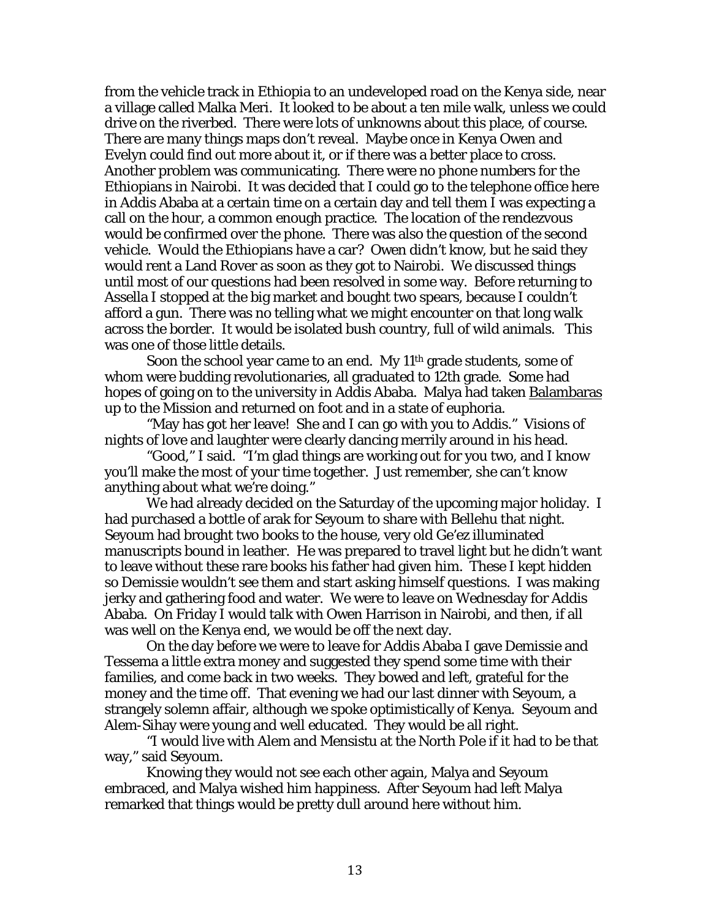from the vehicle track in Ethiopia to an undeveloped road on the Kenya side, near a village called Malka Meri. It looked to be about a ten mile walk, unless we could drive on the riverbed. There were lots of unknowns about this place, of course. There are many things maps don't reveal. Maybe once in Kenya Owen and Evelyn could find out more about it, or if there was a better place to cross. Another problem was communicating. There were no phone numbers for the Ethiopians in Nairobi. It was decided that I could go to the telephone office here in Addis Ababa at a certain time on a certain day and tell them I was expecting a call on the hour, a common enough practice. The location of the rendezvous would be confirmed over the phone. There was also the question of the second vehicle. Would the Ethiopians have a car? Owen didn't know, but he said they would rent a Land Rover as soon as they got to Nairobi. We discussed things until most of our questions had been resolved in some way. Before returning to Assella I stopped at the big market and bought two spears, because I couldn't afford a gun. There was no telling what we might encounter on that long walk across the border. It would be isolated bush country, full of wild animals. This was one of those little details.

Soon the school year came to an end. My 11<sup>th</sup> grade students, some of whom were budding revolutionaries, all graduated to 12th grade. Some had hopes of going on to the university in Addis Ababa. Malya had taken Balambaras up to the Mission and returned on foot and in a state of euphoria.

 "May has got her leave! She and I can go with you to Addis." Visions of nights of love and laughter were clearly dancing merrily around in his head.

 "Good," I said. "I'm glad things are working out for you two, and I know you'll make the most of your time together. Just remember, she can't know anything about what we're doing."

 We had already decided on the Saturday of the upcoming major holiday. I had purchased a bottle of arak for Seyoum to share with Bellehu that night. Seyoum had brought two books to the house, very old Ge'ez illuminated manuscripts bound in leather. He was prepared to travel light but he didn't want to leave without these rare books his father had given him. These I kept hidden so Demissie wouldn't see them and start asking himself questions. I was making jerky and gathering food and water. We were to leave on Wednesday for Addis Ababa. On Friday I would talk with Owen Harrison in Nairobi, and then, if all was well on the Kenya end, we would be off the next day.

 On the day before we were to leave for Addis Ababa I gave Demissie and Tessema a little extra money and suggested they spend some time with their families, and come back in two weeks. They bowed and left, grateful for the money and the time off. That evening we had our last dinner with Seyoum, a strangely solemn affair, although we spoke optimistically of Kenya. Seyoum and Alem-Sihay were young and well educated. They would be all right.

 "I would live with Alem and Mensistu at the North Pole if it had to be that way," said Seyoum.

 Knowing they would not see each other again, Malya and Seyoum embraced, and Malya wished him happiness. After Seyoum had left Malya remarked that things would be pretty dull around here without him.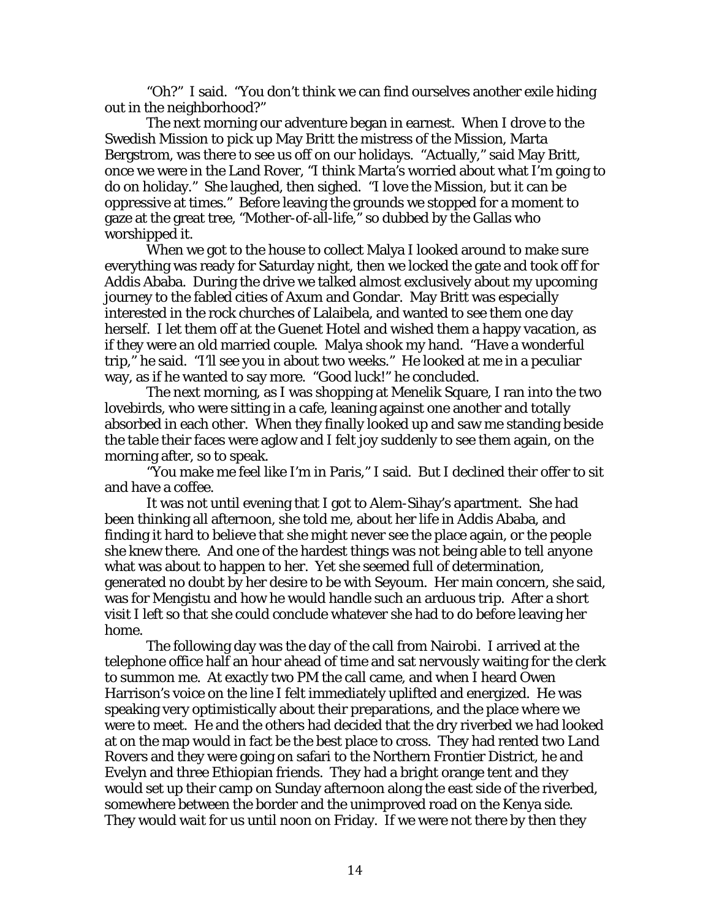"Oh?" I said. "You don't think we can find ourselves another exile hiding out in the neighborhood?"

 The next morning our adventure began in earnest. When I drove to the Swedish Mission to pick up May Britt the mistress of the Mission, Marta Bergstrom, was there to see us off on our holidays. "Actually," said May Britt, once we were in the Land Rover, "I think Marta's worried about what I'm going to do on holiday." She laughed, then sighed. "I love the Mission, but it can be oppressive at times." Before leaving the grounds we stopped for a moment to gaze at the great tree, "Mother-of-all-life," so dubbed by the Gallas who worshipped it.

 When we got to the house to collect Malya I looked around to make sure everything was ready for Saturday night, then we locked the gate and took off for Addis Ababa. During the drive we talked almost exclusively about my upcoming journey to the fabled cities of Axum and Gondar. May Britt was especially interested in the rock churches of Lalaibela, and wanted to see them one day herself. I let them off at the Guenet Hotel and wished them a happy vacation, as if they were an old married couple. Malya shook my hand. "Have a wonderful trip," he said. "I'll see you in about two weeks." He looked at me in a peculiar way, as if he wanted to say more. "Good luck!" he concluded.

 The next morning, as I was shopping at Menelik Square, I ran into the two lovebirds, who were sitting in a cafe, leaning against one another and totally absorbed in each other. When they finally looked up and saw me standing beside the table their faces were aglow and I felt joy suddenly to see them again, on the morning after, so to speak.

 "You make me feel like I'm in Paris," I said. But I declined their offer to sit and have a coffee.

 It was not until evening that I got to Alem-Sihay's apartment. She had been thinking all afternoon, she told me, about her life in Addis Ababa, and finding it hard to believe that she might never see the place again, or the people she knew there. And one of the hardest things was not being able to tell anyone what was about to happen to her. Yet she seemed full of determination, generated no doubt by her desire to be with Seyoum. Her main concern, she said, was for Mengistu and how he would handle such an arduous trip. After a short visit I left so that she could conclude whatever she had to do before leaving her home.

 The following day was the day of the call from Nairobi. I arrived at the telephone office half an hour ahead of time and sat nervously waiting for the clerk to summon me. At exactly two PM the call came, and when I heard Owen Harrison's voice on the line I felt immediately uplifted and energized. He was speaking very optimistically about their preparations, and the place where we were to meet. He and the others had decided that the dry riverbed we had looked at on the map would in fact be the best place to cross. They had rented two Land Rovers and they were going on safari to the Northern Frontier District, he and Evelyn and three Ethiopian friends. They had a bright orange tent and they would set up their camp on Sunday afternoon along the east side of the riverbed, somewhere between the border and the unimproved road on the Kenya side. They would wait for us until noon on Friday. If we were not there by then they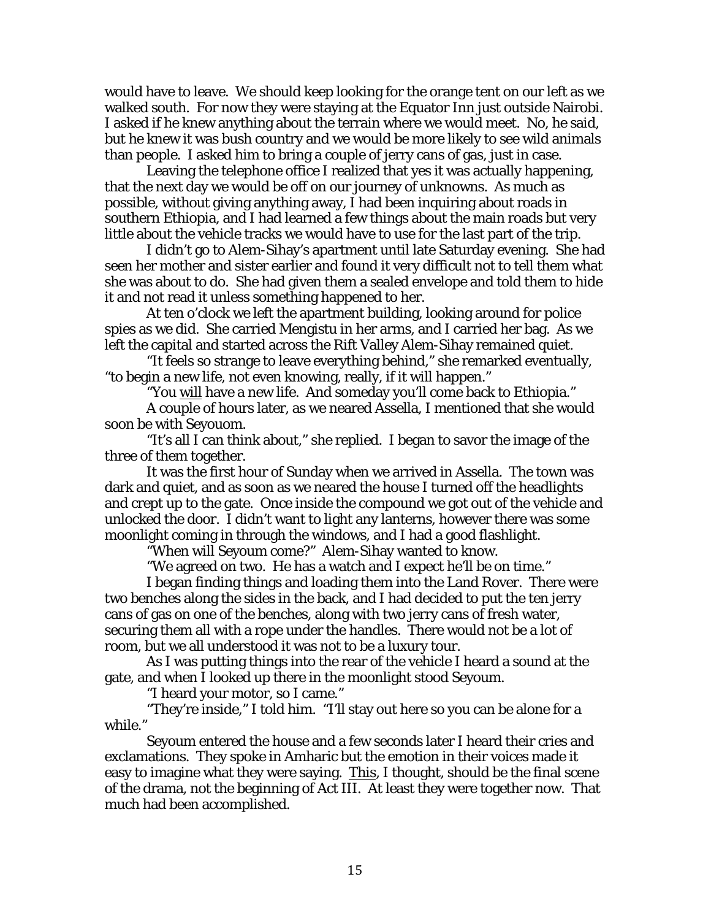would have to leave. We should keep looking for the orange tent on our left as we walked south. For now they were staying at the Equator Inn just outside Nairobi. I asked if he knew anything about the terrain where we would meet. No, he said, but he knew it was bush country and we would be more likely to see wild animals than people. I asked him to bring a couple of jerry cans of gas, just in case.

 Leaving the telephone office I realized that yes it was actually happening, that the next day we would be off on our journey of unknowns. As much as possible, without giving anything away, I had been inquiring about roads in southern Ethiopia, and I had learned a few things about the main roads but very little about the vehicle tracks we would have to use for the last part of the trip.

 I didn't go to Alem-Sihay's apartment until late Saturday evening. She had seen her mother and sister earlier and found it very difficult not to tell them what she was about to do. She had given them a sealed envelope and told them to hide it and not read it unless something happened to her.

 At ten o'clock we left the apartment building, looking around for police spies as we did. She carried Mengistu in her arms, and I carried her bag. As we left the capital and started across the Rift Valley Alem-Sihay remained quiet.

 "It feels so strange to leave everything behind," she remarked eventually, "to begin a new life, not even knowing, really, if it will happen."

"You <u>will</u> have a new life. And someday you'll come back to Ethiopia."

 A couple of hours later, as we neared Assella, I mentioned that she would soon be with Seyouom.

 "It's all I can think about," she replied. I began to savor the image of the three of them together.

 It was the first hour of Sunday when we arrived in Assella. The town was dark and quiet, and as soon as we neared the house I turned off the headlights and crept up to the gate. Once inside the compound we got out of the vehicle and unlocked the door. I didn't want to light any lanterns, however there was some moonlight coming in through the windows, and I had a good flashlight.

"When will Seyoum come?" Alem-Sihay wanted to know.

"We agreed on two. He has a watch and I expect he'll be on time."

 I began finding things and loading them into the Land Rover. There were two benches along the sides in the back, and I had decided to put the ten jerry cans of gas on one of the benches, along with two jerry cans of fresh water, securing them all with a rope under the handles. There would not be a lot of room, but we all understood it was not to be a luxury tour.

 As I was putting things into the rear of the vehicle I heard a sound at the gate, and when I looked up there in the moonlight stood Seyoum.

"I heard your motor, so I came."

 "They're inside," I told him. "I'll stay out here so you can be alone for a while."

 Seyoum entered the house and a few seconds later I heard their cries and exclamations. They spoke in Amharic but the emotion in their voices made it easy to imagine what they were saying. This, I thought, should be the final scene of the drama, not the beginning of Act III. At least they were together now. That much had been accomplished.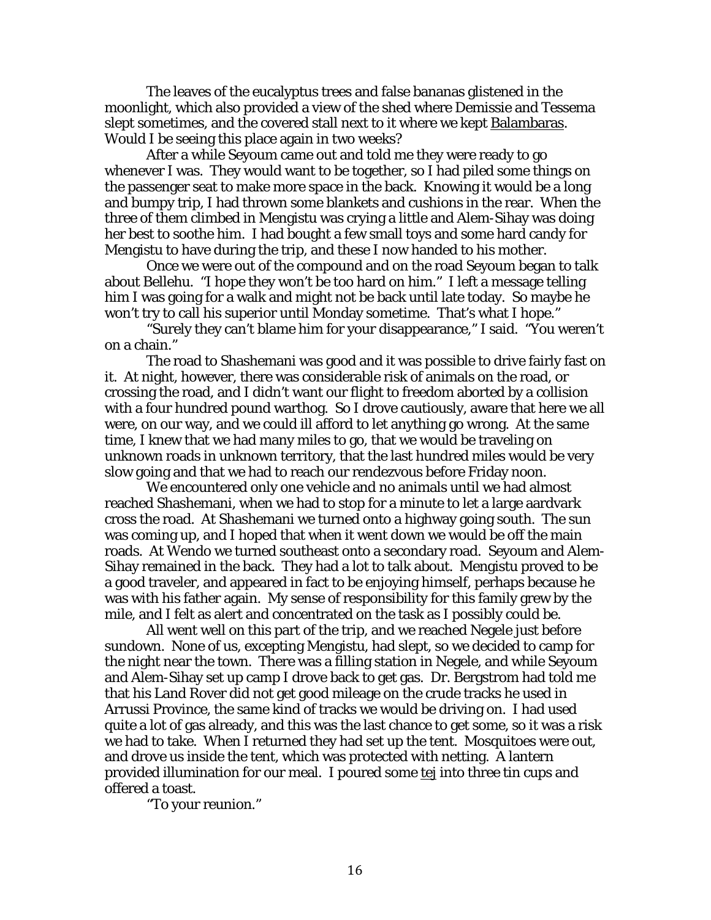The leaves of the eucalyptus trees and false bananas glistened in the moonlight, which also provided a view of the shed where Demissie and Tessema slept sometimes, and the covered stall next to it where we kept Balambaras. Would I be seeing this place again in two weeks?

 After a while Seyoum came out and told me they were ready to go whenever I was. They would want to be together, so I had piled some things on the passenger seat to make more space in the back. Knowing it would be a long and bumpy trip, I had thrown some blankets and cushions in the rear. When the three of them climbed in Mengistu was crying a little and Alem-Sihay was doing her best to soothe him. I had bought a few small toys and some hard candy for Mengistu to have during the trip, and these I now handed to his mother.

 Once we were out of the compound and on the road Seyoum began to talk about Bellehu. "I hope they won't be too hard on him." I left a message telling him I was going for a walk and might not be back until late today. So maybe he won't try to call his superior until Monday sometime. That's what I hope."

 "Surely they can't blame him for your disappearance," I said. "You weren't on a chain."

 The road to Shashemani was good and it was possible to drive fairly fast on it. At night, however, there was considerable risk of animals on the road, or crossing the road, and I didn't want our flight to freedom aborted by a collision with a four hundred pound warthog. So I drove cautiously, aware that here we all were, on our way, and we could ill afford to let anything go wrong. At the same time, I knew that we had many miles to go, that we would be traveling on unknown roads in unknown territory, that the last hundred miles would be very slow going and that we had to reach our rendezvous before Friday noon.

 We encountered only one vehicle and no animals until we had almost reached Shashemani, when we had to stop for a minute to let a large aardvark cross the road. At Shashemani we turned onto a highway going south. The sun was coming up, and I hoped that when it went down we would be off the main roads. At Wendo we turned southeast onto a secondary road. Seyoum and Alem-Sihay remained in the back. They had a lot to talk about. Mengistu proved to be a good traveler, and appeared in fact to be enjoying himself, perhaps because he was with his father again. My sense of responsibility for this family grew by the mile, and I felt as alert and concentrated on the task as I possibly could be.

 All went well on this part of the trip, and we reached Negele just before sundown. None of us, excepting Mengistu, had slept, so we decided to camp for the night near the town. There was a filling station in Negele, and while Seyoum and Alem-Sihay set up camp I drove back to get gas. Dr. Bergstrom had told me that his Land Rover did not get good mileage on the crude tracks he used in Arrussi Province, the same kind of tracks we would be driving on. I had used quite a lot of gas already, and this was the last chance to get some, so it was a risk we had to take. When I returned they had set up the tent. Mosquitoes were out, and drove us inside the tent, which was protected with netting. A lantern provided illumination for our meal. I poured some tej into three tin cups and offered a toast.

"To your reunion."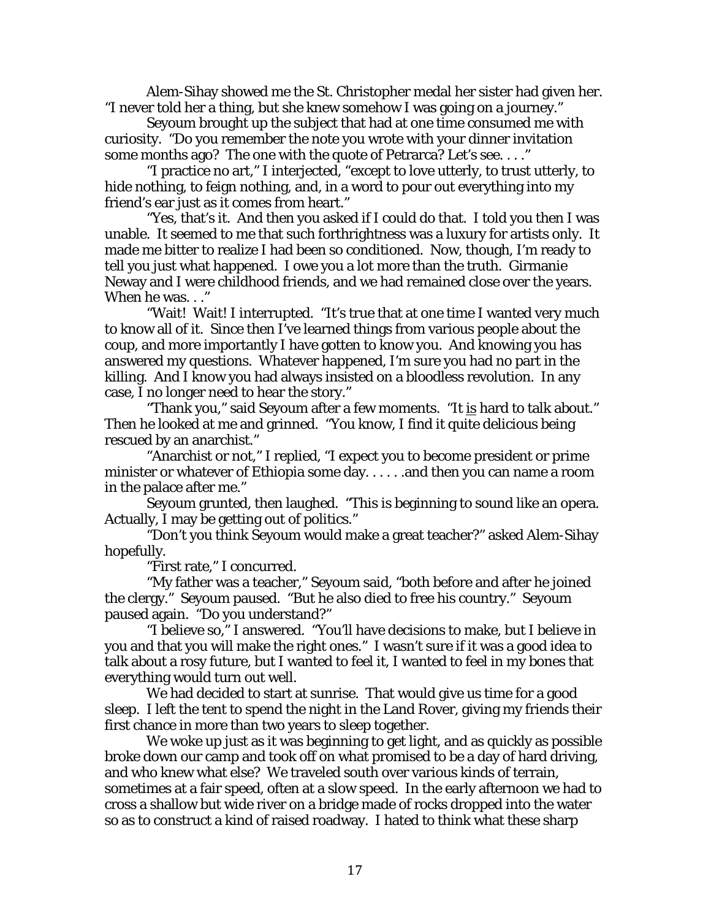Alem-Sihay showed me the St. Christopher medal her sister had given her. "I never told her a thing, but she knew somehow I was going on a journey."

 Seyoum brought up the subject that had at one time consumed me with curiosity. "Do you remember the note you wrote with your dinner invitation some months ago? The one with the quote of Petrarca? Let's see. . . ."

 "I practice no art," I interjected, "except to love utterly, to trust utterly, to hide nothing, to feign nothing, and, in a word to pour out everything into my friend's ear just as it comes from heart."

 "Yes, that's it. And then you asked if I could do that. I told you then I was unable. It seemed to me that such forthrightness was a luxury for artists only. It made me bitter to realize I had been so conditioned. Now, though, I'm ready to tell you just what happened. I owe you a lot more than the truth. Girmanie Neway and I were childhood friends, and we had remained close over the years. When he was..."

 "Wait! Wait! I interrupted. "It's true that at one time I wanted very much to know all of it. Since then I've learned things from various people about the coup, and more importantly I have gotten to know you. And knowing you has answered my questions. Whatever happened, I'm sure you had no part in the killing. And I know you had always insisted on a bloodless revolution. In any case, I no longer need to hear the story."

"Thank you," said Seyoum after a few moments. "It is hard to talk about." Then he looked at me and grinned. "You know, I find it quite delicious being rescued by an anarchist."

 "Anarchist or not," I replied, "I expect you to become president or prime minister or whatever of Ethiopia some day.  $\dots$  and then you can name a room in the palace after me."

 Seyoum grunted, then laughed. "This is beginning to sound like an opera. Actually, I may be getting out of politics."

 "Don't you think Seyoum would make a great teacher?" asked Alem-Sihay hopefully.

"First rate," I concurred.

 "My father was a teacher," Seyoum said, "both before and after he joined the clergy." Seyoum paused. "But he also died to free his country." Seyoum paused again. "Do you understand?"

 "I believe so," I answered. "You'll have decisions to make, but I believe in you and that you will make the right ones." I wasn't sure if it was a good idea to talk about a rosy future, but I wanted to feel it, I wanted to feel in my bones that everything would turn out well.

 We had decided to start at sunrise. That would give us time for a good sleep. I left the tent to spend the night in the Land Rover, giving my friends their first chance in more than two years to sleep together.

 We woke up just as it was beginning to get light, and as quickly as possible broke down our camp and took off on what promised to be a day of hard driving, and who knew what else? We traveled south over various kinds of terrain, sometimes at a fair speed, often at a slow speed. In the early afternoon we had to cross a shallow but wide river on a bridge made of rocks dropped into the water so as to construct a kind of raised roadway. I hated to think what these sharp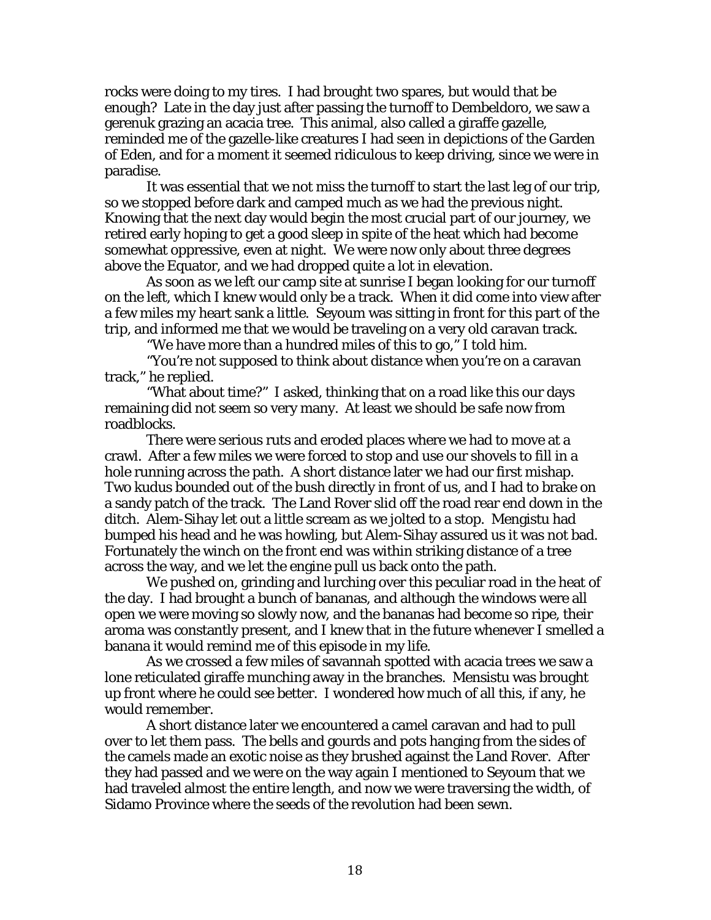rocks were doing to my tires. I had brought two spares, but would that be enough? Late in the day just after passing the turnoff to Dembeldoro, we saw a gerenuk grazing an acacia tree. This animal, also called a giraffe gazelle, reminded me of the gazelle-like creatures I had seen in depictions of the Garden of Eden, and for a moment it seemed ridiculous to keep driving, since we were in paradise.

 It was essential that we not miss the turnoff to start the last leg of our trip, so we stopped before dark and camped much as we had the previous night. Knowing that the next day would begin the most crucial part of our journey, we retired early hoping to get a good sleep in spite of the heat which had become somewhat oppressive, even at night. We were now only about three degrees above the Equator, and we had dropped quite a lot in elevation.

 As soon as we left our camp site at sunrise I began looking for our turnoff on the left, which I knew would only be a track. When it did come into view after a few miles my heart sank a little. Seyoum was sitting in front for this part of the trip, and informed me that we would be traveling on a very old caravan track.

"We have more than a hundred miles of this to go," I told him.

 "You're not supposed to think about distance when you're on a caravan track," he replied.

 "What about time?" I asked, thinking that on a road like this our days remaining did not seem so very many. At least we should be safe now from roadblocks.

 There were serious ruts and eroded places where we had to move at a crawl. After a few miles we were forced to stop and use our shovels to fill in a hole running across the path. A short distance later we had our first mishap. Two kudus bounded out of the bush directly in front of us, and I had to brake on a sandy patch of the track. The Land Rover slid off the road rear end down in the ditch. Alem-Sihay let out a little scream as we jolted to a stop. Mengistu had bumped his head and he was howling, but Alem-Sihay assured us it was not bad. Fortunately the winch on the front end was within striking distance of a tree across the way, and we let the engine pull us back onto the path.

 We pushed on, grinding and lurching over this peculiar road in the heat of the day. I had brought a bunch of bananas, and although the windows were all open we were moving so slowly now, and the bananas had become so ripe, their aroma was constantly present, and I knew that in the future whenever I smelled a banana it would remind me of this episode in my life.

 As we crossed a few miles of savannah spotted with acacia trees we saw a lone reticulated giraffe munching away in the branches. Mensistu was brought up front where he could see better. I wondered how much of all this, if any, he would remember.

 A short distance later we encountered a camel caravan and had to pull over to let them pass. The bells and gourds and pots hanging from the sides of the camels made an exotic noise as they brushed against the Land Rover. After they had passed and we were on the way again I mentioned to Seyoum that we had traveled almost the entire length, and now we were traversing the width, of Sidamo Province where the seeds of the revolution had been sewn.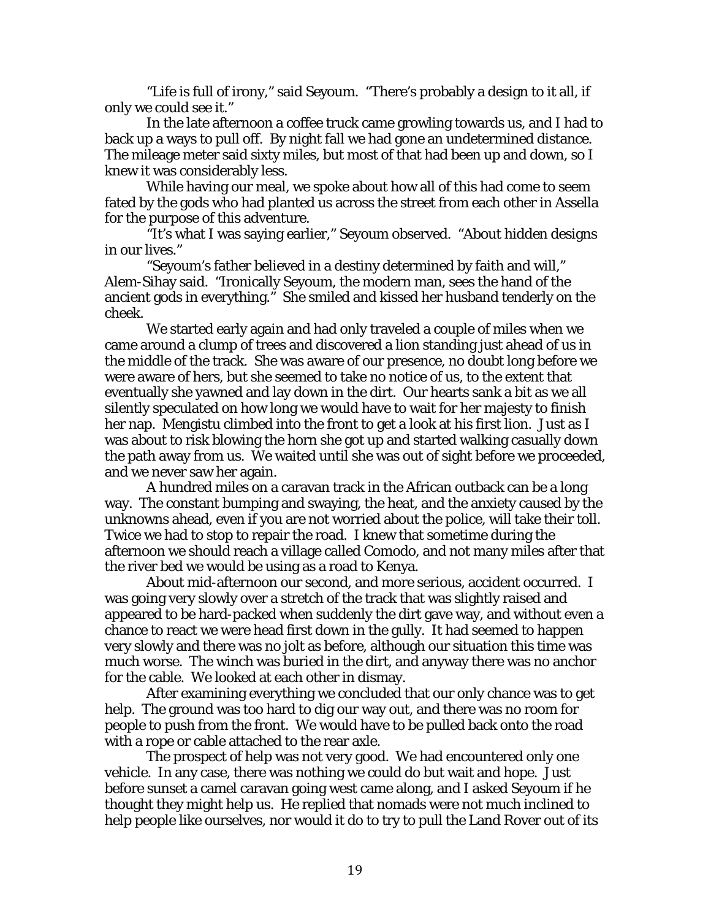"Life is full of irony," said Seyoum. "There's probably a design to it all, if only we could see it."

 In the late afternoon a coffee truck came growling towards us, and I had to back up a ways to pull off. By night fall we had gone an undetermined distance. The mileage meter said sixty miles, but most of that had been up and down, so I knew it was considerably less.

 While having our meal, we spoke about how all of this had come to seem fated by the gods who had planted us across the street from each other in Assella for the purpose of this adventure.

 "It's what I was saying earlier," Seyoum observed. "About hidden designs in our lives."

 "Seyoum's father believed in a destiny determined by faith and will," Alem-Sihay said. "Ironically Seyoum, the modern man, sees the hand of the ancient gods in everything." She smiled and kissed her husband tenderly on the cheek.

 We started early again and had only traveled a couple of miles when we came around a clump of trees and discovered a lion standing just ahead of us in the middle of the track. She was aware of our presence, no doubt long before we were aware of hers, but she seemed to take no notice of us, to the extent that eventually she yawned and lay down in the dirt. Our hearts sank a bit as we all silently speculated on how long we would have to wait for her majesty to finish her nap. Mengistu climbed into the front to get a look at his first lion. Just as I was about to risk blowing the horn she got up and started walking casually down the path away from us. We waited until she was out of sight before we proceeded, and we never saw her again.

 A hundred miles on a caravan track in the African outback can be a long way. The constant bumping and swaying, the heat, and the anxiety caused by the unknowns ahead, even if you are not worried about the police, will take their toll. Twice we had to stop to repair the road. I knew that sometime during the afternoon we should reach a village called Comodo, and not many miles after that the river bed we would be using as a road to Kenya.

 About mid-afternoon our second, and more serious, accident occurred. I was going very slowly over a stretch of the track that was slightly raised and appeared to be hard-packed when suddenly the dirt gave way, and without even a chance to react we were head first down in the gully. It had seemed to happen very slowly and there was no jolt as before, although our situation this time was much worse. The winch was buried in the dirt, and anyway there was no anchor for the cable. We looked at each other in dismay.

 After examining everything we concluded that our only chance was to get help. The ground was too hard to dig our way out, and there was no room for people to push from the front. We would have to be pulled back onto the road with a rope or cable attached to the rear axle.

 The prospect of help was not very good. We had encountered only one vehicle. In any case, there was nothing we could do but wait and hope. Just before sunset a camel caravan going west came along, and I asked Seyoum if he thought they might help us. He replied that nomads were not much inclined to help people like ourselves, nor would it do to try to pull the Land Rover out of its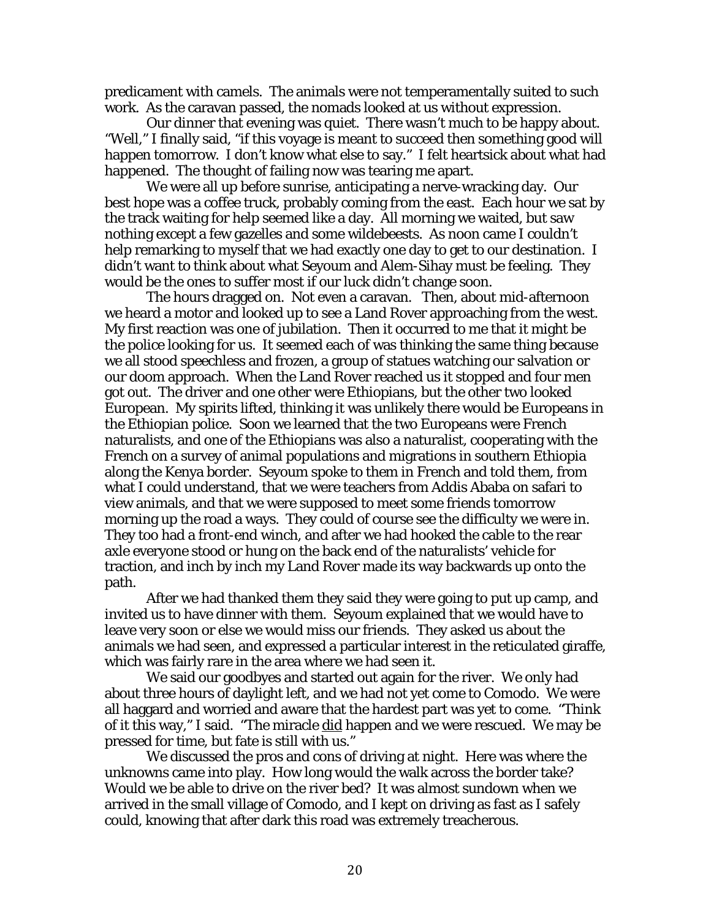predicament with camels. The animals were not temperamentally suited to such work. As the caravan passed, the nomads looked at us without expression.

 Our dinner that evening was quiet. There wasn't much to be happy about. "Well," I finally said, "if this voyage is meant to succeed then something good will happen tomorrow. I don't know what else to say." I felt heartsick about what had happened. The thought of failing now was tearing me apart.

 We were all up before sunrise, anticipating a nerve-wracking day. Our best hope was a coffee truck, probably coming from the east. Each hour we sat by the track waiting for help seemed like a day. All morning we waited, but saw nothing except a few gazelles and some wildebeests. As noon came I couldn't help remarking to myself that we had exactly one day to get to our destination. I didn't want to think about what Seyoum and Alem-Sihay must be feeling. They would be the ones to suffer most if our luck didn't change soon.

 The hours dragged on. Not even a caravan. Then, about mid-afternoon we heard a motor and looked up to see a Land Rover approaching from the west. My first reaction was one of jubilation. Then it occurred to me that it might be the police looking for us. It seemed each of was thinking the same thing because we all stood speechless and frozen, a group of statues watching our salvation or our doom approach. When the Land Rover reached us it stopped and four men got out. The driver and one other were Ethiopians, but the other two looked European. My spirits lifted, thinking it was unlikely there would be Europeans in the Ethiopian police. Soon we learned that the two Europeans were French naturalists, and one of the Ethiopians was also a naturalist, cooperating with the French on a survey of animal populations and migrations in southern Ethiopia along the Kenya border. Seyoum spoke to them in French and told them, from what I could understand, that we were teachers from Addis Ababa on safari to view animals, and that we were supposed to meet some friends tomorrow morning up the road a ways. They could of course see the difficulty we were in. They too had a front-end winch, and after we had hooked the cable to the rear axle everyone stood or hung on the back end of the naturalists' vehicle for traction, and inch by inch my Land Rover made its way backwards up onto the path.

 After we had thanked them they said they were going to put up camp, and invited us to have dinner with them. Seyoum explained that we would have to leave very soon or else we would miss our friends. They asked us about the animals we had seen, and expressed a particular interest in the reticulated giraffe, which was fairly rare in the area where we had seen it.

 We said our goodbyes and started out again for the river. We only had about three hours of daylight left, and we had not yet come to Comodo. We were all haggard and worried and aware that the hardest part was yet to come. "Think of it this way," I said. "The miracle did happen and we were rescued. We may be pressed for time, but fate is still with us."

 We discussed the pros and cons of driving at night. Here was where the unknowns came into play. How long would the walk across the border take? Would we be able to drive on the river bed? It was almost sundown when we arrived in the small village of Comodo, and I kept on driving as fast as I safely could, knowing that after dark this road was extremely treacherous.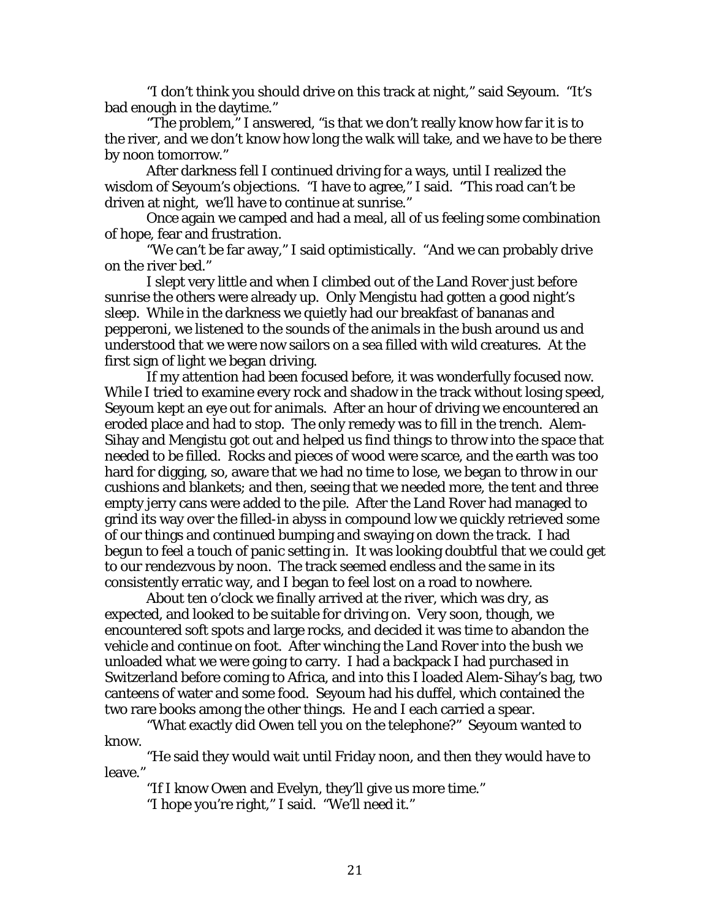"I don't think you should drive on this track at night," said Seyoum. "It's bad enough in the daytime."

 "The problem," I answered, "is that we don't really know how far it is to the river, and we don't know how long the walk will take, and we have to be there by noon tomorrow."

 After darkness fell I continued driving for a ways, until I realized the wisdom of Seyoum's objections. "I have to agree," I said. "This road can't be driven at night, we'll have to continue at sunrise."

 Once again we camped and had a meal, all of us feeling some combination of hope, fear and frustration.

 "We can't be far away," I said optimistically. "And we can probably drive on the river bed."

 I slept very little and when I climbed out of the Land Rover just before sunrise the others were already up. Only Mengistu had gotten a good night's sleep. While in the darkness we quietly had our breakfast of bananas and pepperoni, we listened to the sounds of the animals in the bush around us and understood that we were now sailors on a sea filled with wild creatures. At the first sign of light we began driving.

 If my attention had been focused before, it was wonderfully focused now. While I tried to examine every rock and shadow in the track without losing speed, Seyoum kept an eye out for animals. After an hour of driving we encountered an eroded place and had to stop. The only remedy was to fill in the trench. Alem-Sihay and Mengistu got out and helped us find things to throw into the space that needed to be filled. Rocks and pieces of wood were scarce, and the earth was too hard for digging, so, aware that we had no time to lose, we began to throw in our cushions and blankets; and then, seeing that we needed more, the tent and three empty jerry cans were added to the pile. After the Land Rover had managed to grind its way over the filled-in abyss in compound low we quickly retrieved some of our things and continued bumping and swaying on down the track. I had begun to feel a touch of panic setting in. It was looking doubtful that we could get to our rendezvous by noon. The track seemed endless and the same in its consistently erratic way, and I began to feel lost on a road to nowhere.

 About ten o'clock we finally arrived at the river, which was dry, as expected, and looked to be suitable for driving on. Very soon, though, we encountered soft spots and large rocks, and decided it was time to abandon the vehicle and continue on foot. After winching the Land Rover into the bush we unloaded what we were going to carry. I had a backpack I had purchased in Switzerland before coming to Africa, and into this I loaded Alem-Sihay's bag, two canteens of water and some food. Seyoum had his duffel, which contained the two rare books among the other things. He and I each carried a spear.

 "What exactly did Owen tell you on the telephone?" Seyoum wanted to know.

 "He said they would wait until Friday noon, and then they would have to leave."

"If I know Owen and Evelyn, they'll give us more time."

"I hope you're right," I said. "We'll need it."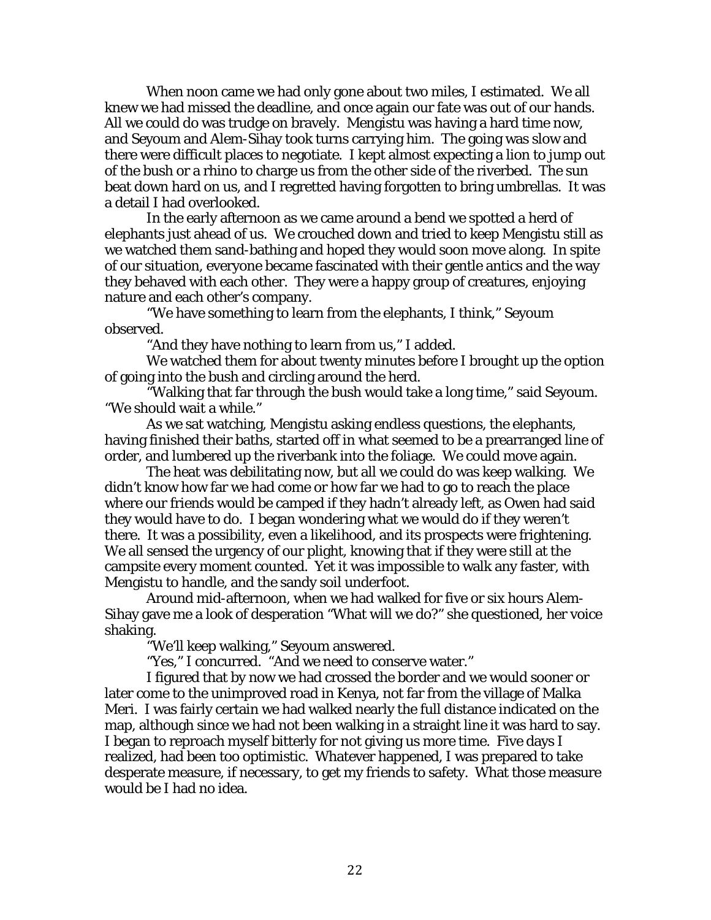When noon came we had only gone about two miles, I estimated. We all knew we had missed the deadline, and once again our fate was out of our hands. All we could do was trudge on bravely. Mengistu was having a hard time now, and Seyoum and Alem-Sihay took turns carrying him. The going was slow and there were difficult places to negotiate. I kept almost expecting a lion to jump out of the bush or a rhino to charge us from the other side of the riverbed. The sun beat down hard on us, and I regretted having forgotten to bring umbrellas. It was a detail I had overlooked.

 In the early afternoon as we came around a bend we spotted a herd of elephants just ahead of us. We crouched down and tried to keep Mengistu still as we watched them sand-bathing and hoped they would soon move along. In spite of our situation, everyone became fascinated with their gentle antics and the way they behaved with each other. They were a happy group of creatures, enjoying nature and each other's company.

 "We have something to learn from the elephants, I think," Seyoum observed.

"And they have nothing to learn from us," I added.

 We watched them for about twenty minutes before I brought up the option of going into the bush and circling around the herd.

 "Walking that far through the bush would take a long time," said Seyoum. "We should wait a while."

 As we sat watching, Mengistu asking endless questions, the elephants, having finished their baths, started off in what seemed to be a prearranged line of order, and lumbered up the riverbank into the foliage. We could move again.

 The heat was debilitating now, but all we could do was keep walking. We didn't know how far we had come or how far we had to go to reach the place where our friends would be camped if they hadn't already left, as Owen had said they would have to do. I began wondering what we would do if they weren't there. It was a possibility, even a likelihood, and its prospects were frightening. We all sensed the urgency of our plight, knowing that if they were still at the campsite every moment counted. Yet it was impossible to walk any faster, with Mengistu to handle, and the sandy soil underfoot.

 Around mid-afternoon, when we had walked for five or six hours Alem-Sihay gave me a look of desperation "What will we do?" she questioned, her voice shaking.

"We'll keep walking," Seyoum answered.

"Yes," I concurred. "And we need to conserve water."

 I figured that by now we had crossed the border and we would sooner or later come to the unimproved road in Kenya, not far from the village of Malka Meri. I was fairly certain we had walked nearly the full distance indicated on the map, although since we had not been walking in a straight line it was hard to say. I began to reproach myself bitterly for not giving us more time. Five days I realized, had been too optimistic. Whatever happened, I was prepared to take desperate measure, if necessary, to get my friends to safety. What those measure would be I had no idea.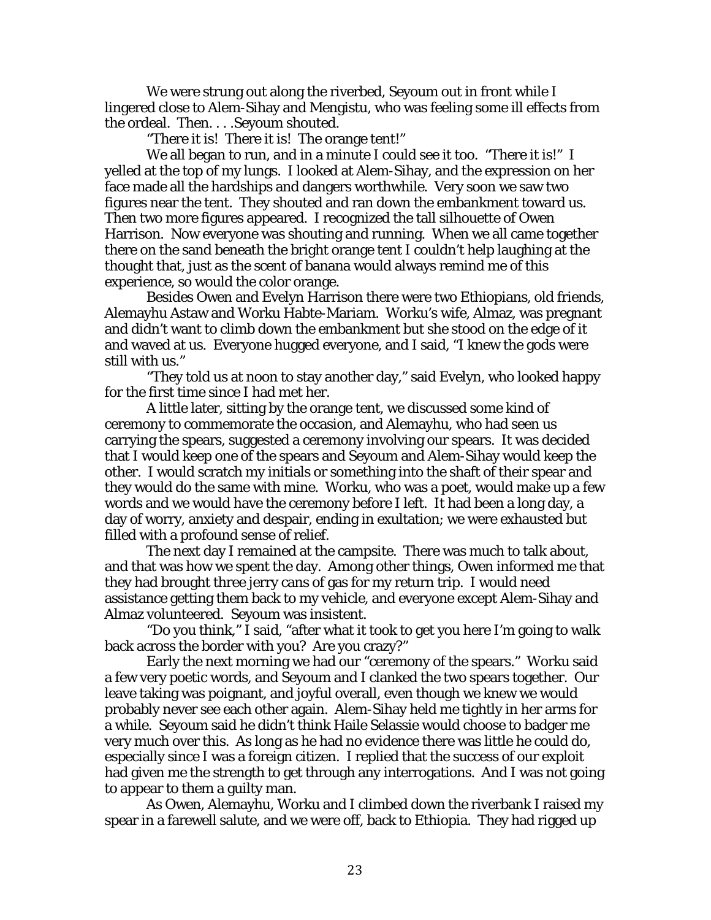We were strung out along the riverbed, Seyoum out in front while I lingered close to Alem-Sihay and Mengistu, who was feeling some ill effects from the ordeal. Then. . . .Seyoum shouted.

"There it is! There it is! The orange tent!"

We all began to run, and in a minute I could see it too. "There it is!" I yelled at the top of my lungs. I looked at Alem-Sihay, and the expression on her face made all the hardships and dangers worthwhile. Very soon we saw two figures near the tent. They shouted and ran down the embankment toward us. Then two more figures appeared. I recognized the tall silhouette of Owen Harrison. Now everyone was shouting and running. When we all came together there on the sand beneath the bright orange tent I couldn't help laughing at the thought that, just as the scent of banana would always remind me of this experience, so would the color orange.

 Besides Owen and Evelyn Harrison there were two Ethiopians, old friends, Alemayhu Astaw and Worku Habte-Mariam. Worku's wife, Almaz, was pregnant and didn't want to climb down the embankment but she stood on the edge of it and waved at us. Everyone hugged everyone, and I said, "I knew the gods were still with us."

 "They told us at noon to stay another day," said Evelyn, who looked happy for the first time since I had met her.

 A little later, sitting by the orange tent, we discussed some kind of ceremony to commemorate the occasion, and Alemayhu, who had seen us carrying the spears, suggested a ceremony involving our spears. It was decided that I would keep one of the spears and Seyoum and Alem-Sihay would keep the other. I would scratch my initials or something into the shaft of their spear and they would do the same with mine. Worku, who was a poet, would make up a few words and we would have the ceremony before I left. It had been a long day, a day of worry, anxiety and despair, ending in exultation; we were exhausted but filled with a profound sense of relief.

 The next day I remained at the campsite. There was much to talk about, and that was how we spent the day. Among other things, Owen informed me that they had brought three jerry cans of gas for my return trip. I would need assistance getting them back to my vehicle, and everyone except Alem-Sihay and Almaz volunteered. Seyoum was insistent.

 "Do you think," I said, "after what it took to get you here I'm going to walk back across the border with you? Are you crazy?"

 Early the next morning we had our "ceremony of the spears." Worku said a few very poetic words, and Seyoum and I clanked the two spears together. Our leave taking was poignant, and joyful overall, even though we knew we would probably never see each other again. Alem-Sihay held me tightly in her arms for a while. Seyoum said he didn't think Haile Selassie would choose to badger me very much over this. As long as he had no evidence there was little he could do, especially since I was a foreign citizen. I replied that the success of our exploit had given me the strength to get through any interrogations. And I was not going to appear to them a guilty man.

 As Owen, Alemayhu, Worku and I climbed down the riverbank I raised my spear in a farewell salute, and we were off, back to Ethiopia. They had rigged up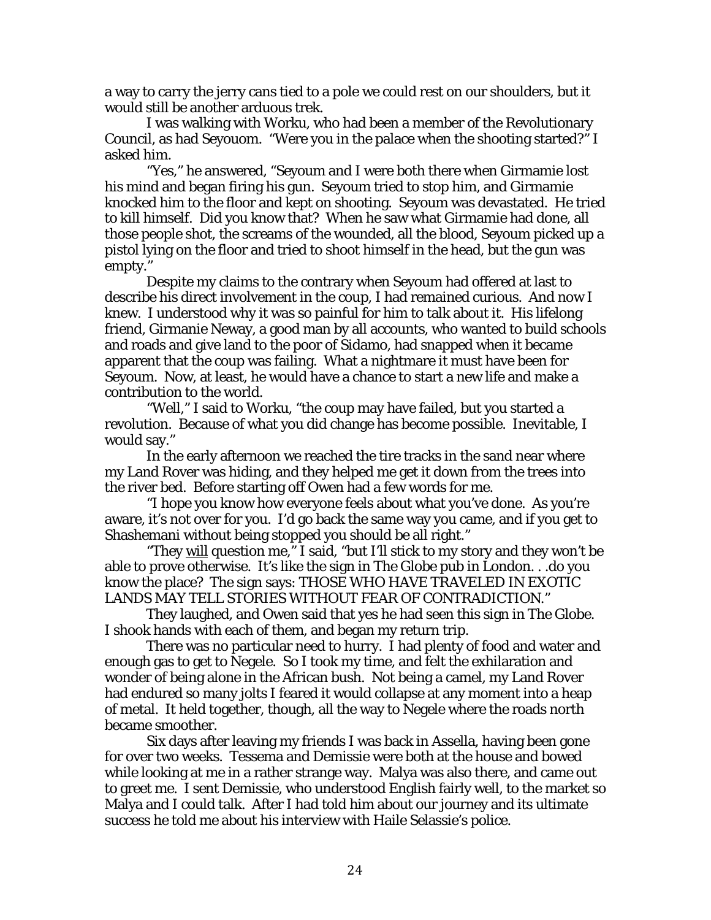a way to carry the jerry cans tied to a pole we could rest on our shoulders, but it would still be another arduous trek.

 I was walking with Worku, who had been a member of the Revolutionary Council, as had Seyouom. "Were you in the palace when the shooting started?" I asked him.

 "Yes," he answered, "Seyoum and I were both there when Girmamie lost his mind and began firing his gun. Seyoum tried to stop him, and Girmamie knocked him to the floor and kept on shooting. Seyoum was devastated. He tried to kill himself. Did you know that? When he saw what Girmamie had done, all those people shot, the screams of the wounded, all the blood, Seyoum picked up a pistol lying on the floor and tried to shoot himself in the head, but the gun was empty."

 Despite my claims to the contrary when Seyoum had offered at last to describe his direct involvement in the coup, I had remained curious. And now I knew. I understood why it was so painful for him to talk about it. His lifelong friend, Girmanie Neway, a good man by all accounts, who wanted to build schools and roads and give land to the poor of Sidamo, had snapped when it became apparent that the coup was failing. What a nightmare it must have been for Seyoum. Now, at least, he would have a chance to start a new life and make a contribution to the world.

 "Well," I said to Worku, "the coup may have failed, but you started a revolution. Because of what you did change has become possible. Inevitable, I would say."

 In the early afternoon we reached the tire tracks in the sand near where my Land Rover was hiding, and they helped me get it down from the trees into the river bed. Before starting off Owen had a few words for me.

 "I hope you know how everyone feels about what you've done. As you're aware, it's not over for you. I'd go back the same way you came, and if you get to Shashemani without being stopped you should be all right."

"They will question me," I said, "but I'll stick to my story and they won't be able to prove otherwise. It's like the sign in The Globe pub in London. . .do you know the place? The sign says: THOSE WHO HAVE TRAVELED IN EXOTIC LANDS MAY TELL STORIES WITHOUT FEAR OF CONTRADICTION."

 They laughed, and Owen said that yes he had seen this sign in The Globe. I shook hands with each of them, and began my return trip.

 There was no particular need to hurry. I had plenty of food and water and enough gas to get to Negele. So I took my time, and felt the exhilaration and wonder of being alone in the African bush. Not being a camel, my Land Rover had endured so many jolts I feared it would collapse at any moment into a heap of metal. It held together, though, all the way to Negele where the roads north became smoother.

 Six days after leaving my friends I was back in Assella, having been gone for over two weeks. Tessema and Demissie were both at the house and bowed while looking at me in a rather strange way. Malya was also there, and came out to greet me. I sent Demissie, who understood English fairly well, to the market so Malya and I could talk. After I had told him about our journey and its ultimate success he told me about his interview with Haile Selassie's police.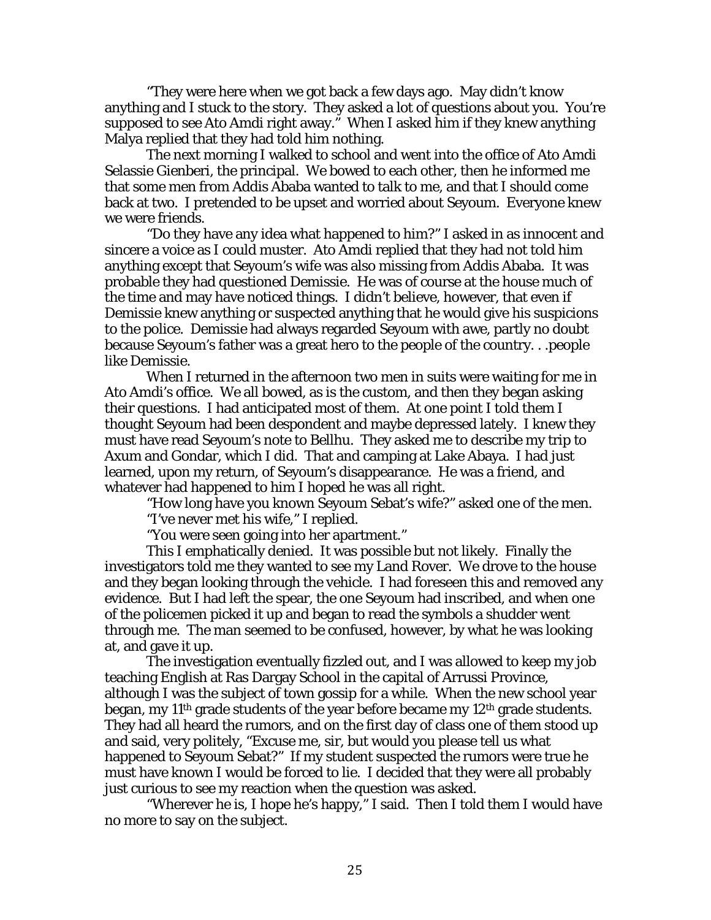"They were here when we got back a few days ago. May didn't know anything and I stuck to the story. They asked a lot of questions about you. You're supposed to see Ato Amdi right away." When I asked him if they knew anything Malya replied that they had told him nothing.

 The next morning I walked to school and went into the office of Ato Amdi Selassie Gienberi, the principal. We bowed to each other, then he informed me that some men from Addis Ababa wanted to talk to me, and that I should come back at two. I pretended to be upset and worried about Seyoum. Everyone knew we were friends.

 "Do they have any idea what happened to him?" I asked in as innocent and sincere a voice as I could muster. Ato Amdi replied that they had not told him anything except that Seyoum's wife was also missing from Addis Ababa. It was probable they had questioned Demissie. He was of course at the house much of the time and may have noticed things. I didn't believe, however, that even if Demissie knew anything or suspected anything that he would give his suspicions to the police. Demissie had always regarded Seyoum with awe, partly no doubt because Seyoum's father was a great hero to the people of the country. . .people like Demissie.

 When I returned in the afternoon two men in suits were waiting for me in Ato Amdi's office. We all bowed, as is the custom, and then they began asking their questions. I had anticipated most of them. At one point I told them I thought Seyoum had been despondent and maybe depressed lately. I knew they must have read Seyoum's note to Bellhu. They asked me to describe my trip to Axum and Gondar, which I did. That and camping at Lake Abaya. I had just learned, upon my return, of Seyoum's disappearance. He was a friend, and whatever had happened to him I hoped he was all right.

"How long have you known Seyoum Sebat's wife?" asked one of the men.

"I've never met his wife," I replied.

"You were seen going into her apartment."

 This I emphatically denied. It was possible but not likely. Finally the investigators told me they wanted to see my Land Rover. We drove to the house and they began looking through the vehicle. I had foreseen this and removed any evidence. But I had left the spear, the one Seyoum had inscribed, and when one of the policemen picked it up and began to read the symbols a shudder went through me. The man seemed to be confused, however, by what he was looking at, and gave it up.

 The investigation eventually fizzled out, and I was allowed to keep my job teaching English at Ras Dargay School in the capital of Arrussi Province, although I was the subject of town gossip for a while. When the new school year began, my  $11<sup>th</sup>$  grade students of the year before became my  $12<sup>th</sup>$  grade students. They had all heard the rumors, and on the first day of class one of them stood up and said, very politely, "Excuse me, sir, but would you please tell us what happened to Seyoum Sebat?" If my student suspected the rumors were true he must have known I would be forced to lie. I decided that they were all probably just curious to see my reaction when the question was asked.

 "Wherever he is, I hope he's happy," I said. Then I told them I would have no more to say on the subject.